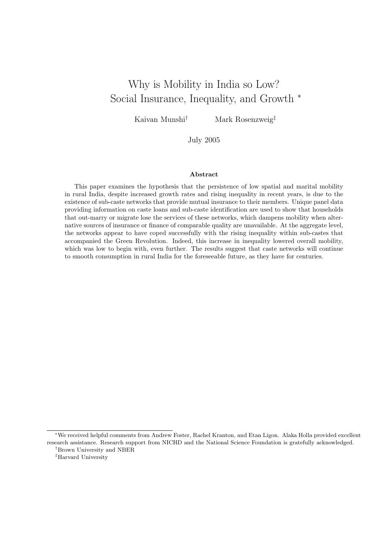# Why is Mobility in India so Low? Social Insurance, Inequality, and Growth <sup>∗</sup>

Kaivan Munshi<sup>†</sup> Mark Rosenzweig<sup>‡</sup>

July 2005

#### Abstract

This paper examines the hypothesis that the persistence of low spatial and marital mobility in rural India, despite increased growth rates and rising inequality in recent years, is due to the existence of sub-caste networks that provide mutual insurance to their members. Unique panel data providing information on caste loans and sub-caste identification are used to show that households that out-marry or migrate lose the services of these networks, which dampens mobility when alternative sources of insurance or finance of comparable quality are unavailable. At the aggregate level, the networks appear to have coped successfully with the rising inequality within sub-castes that accompanied the Green Revolution. Indeed, this increase in inequality lowered overall mobility, which was low to begin with, even further. The results suggest that caste networks will continue to smooth consumption in rural India for the foreseeable future, as they have for centuries.

<sup>∗</sup>We received helpful comments from Andrew Foster, Rachel Kranton, and Etan Ligon. Alaka Holla provided excellent research assistance. Research support from NICHD and the National Science Foundation is gratefully acknowledged. †Brown University and NBER

<sup>‡</sup>Harvard University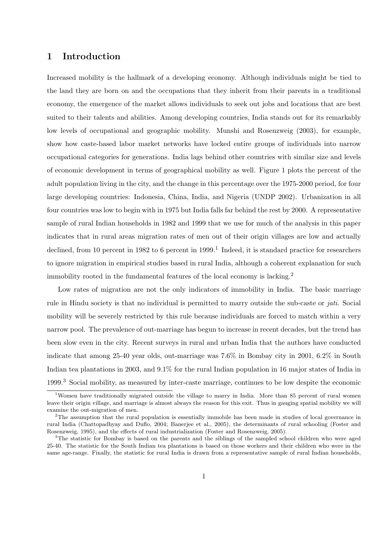### 1 Introduction

Increased mobility is the hallmark of a developing economy. Although individuals might be tied to the land they are born on and the occupations that they inherit from their parents in a traditional economy, the emergence of the market allows individuals to seek out jobs and locations that are best suited to their talents and abilities. Among developing countries, India stands out for its remarkably low levels of occupational and geographic mobility. Munshi and Rosenzweig (2003), for example, show how caste-based labor market networks have locked entire groups of individuals into narrow occupational categories for generations. India lags behind other countries with similar size and levels of economic development in terms of geographical mobility as well. Figure 1 plots the percent of the adult population living in the city, and the change in this percentage over the 1975-2000 period, for four large developing countries: Indonesia, China, India, and Nigeria (UNDP 2002). Urbanization in all four countries was low to begin with in 1975 but India falls far behind the rest by 2000. A representative sample of rural Indian households in 1982 and 1999 that we use for much of the analysis in this paper indicates that in rural areas migration rates of men out of their origin villages are low and actually declined, from 10 percent in 1982 to 6 percent in  $1999$ .<sup>1</sup> Indeed, it is standard practice for researchers to ignore migration in empirical studies based in rural India, although a coherent explanation for such immobility rooted in the fundamental features of the local economy is lacking.<sup>2</sup>

Low rates of migration are not the only indicators of immobility in India. The basic marriage rule in Hindu society is that no individual is permitted to marry outside the sub-caste or jati. Social mobility will be severely restricted by this rule because individuals are forced to match within a very narrow pool. The prevalence of out-marriage has begun to increase in recent decades, but the trend has been slow even in the city. Recent surveys in rural and urban India that the authors have conducted indicate that among 25-40 year olds, out-marriage was 7.6% in Bombay city in 2001, 6.2% in South Indian tea plantations in 2003, and 9.1% for the rural Indian population in 16 major states of India in 1999.<sup>3</sup> Social mobility, as measured by inter-caste marriage, continues to be low despite the economic

<sup>&</sup>lt;sup>1</sup>Women have traditionally migrated outside the village to marry in India. More than 85 percent of rural women leave their origin village, and marriage is almost always the reason for this exit. Thus in gauging spatial mobility we will examine the out-migration of men.

<sup>&</sup>lt;sup>2</sup>The assumption that the rural population is essentially immobile has been made in studies of local governance in rural India (Chattopadhyay and Duflo, 2004; Banerjee et al., 2005), the determinants of rural schooling (Foster and Rosenzweig, 1995), and the effects of rural industrialization (Foster and Rosenzweig, 2005).

<sup>&</sup>lt;sup>3</sup>The statistic for Bombay is based on the parents and the siblings of the sampled school children who were aged 25-40. The statistic for the South Indian tea plantations is based on those workers and their children who were in the same age-range. Finally, the statistic for rural India is drawn from a representative sample of rural Indian households,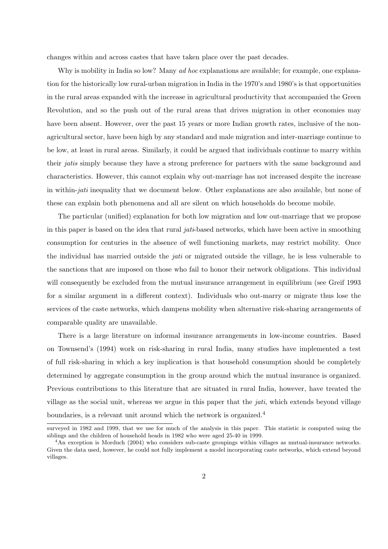changes within and across castes that have taken place over the past decades.

Why is mobility in India so low? Many *ad hoc* explanations are available; for example, one explanation for the historically low rural-urban migration in India in the 1970's and 1980's is that opportunities in the rural areas expanded with the increase in agricultural productivity that accompanied the Green Revolution, and so the push out of the rural areas that drives migration in other economies may have been absent. However, over the past 15 years or more Indian growth rates, inclusive of the nonagricultural sector, have been high by any standard and male migration and inter-marriage continue to be low, at least in rural areas. Similarly, it could be argued that individuals continue to marry within their jatis simply because they have a strong preference for partners with the same background and characteristics. However, this cannot explain why out-marriage has not increased despite the increase in within-jati inequality that we document below. Other explanations are also available, but none of these can explain both phenomena and all are silent on which households do become mobile.

The particular (unified) explanation for both low migration and low out-marriage that we propose in this paper is based on the idea that rural jati-based networks, which have been active in smoothing consumption for centuries in the absence of well functioning markets, may restrict mobility. Once the individual has married outside the jati or migrated outside the village, he is less vulnerable to the sanctions that are imposed on those who fail to honor their network obligations. This individual will consequently be excluded from the mutual insurance arrangement in equilibrium (see Greif 1993 for a similar argument in a different context). Individuals who out-marry or migrate thus lose the services of the caste networks, which dampens mobility when alternative risk-sharing arrangements of comparable quality are unavailable.

There is a large literature on informal insurance arrangements in low-income countries. Based on Townsend's (1994) work on risk-sharing in rural India, many studies have implemented a test of full risk-sharing in which a key implication is that household consumption should be completely determined by aggregate consumption in the group around which the mutual insurance is organized. Previous contributions to this literature that are situated in rural India, however, have treated the village as the social unit, whereas we argue in this paper that the *jati*, which extends beyond village boundaries, is a relevant unit around which the network is organized.<sup>4</sup>

surveyed in 1982 and 1999, that we use for much of the analysis in this paper. This statistic is computed using the siblings and the children of household heads in 1982 who were aged 25-40 in 1999.

<sup>&</sup>lt;sup>4</sup>An exception is Morduch (2004) who considers sub-caste groupings within villages as mutual-insurance networks. Given the data used, however, he could not fully implement a model incorporating caste networks, which extend beyond villages.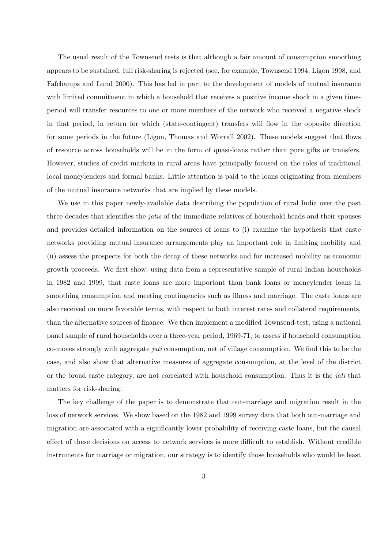The usual result of the Townsend tests is that although a fair amount of consumption smoothing appears to be sustained, full risk-sharing is rejected (see, for example, Townsend 1994, Ligon 1998, and Fafchamps and Lund 2000). This has led in part to the development of models of mutual insurance with limited commitment in which a household that receives a positive income shock in a given timeperiod will transfer resources to one or more members of the network who received a negative shock in that period, in return for which (state-contingent) transfers will flow in the opposite direction for some periods in the future (Ligon, Thomas and Worrall 2002). These models suggest that flows of resource across households will be in the form of quasi-loans rather than pure gifts or transfers. However, studies of credit markets in rural areas have principally focused on the roles of traditional local moneylenders and formal banks. Little attention is paid to the loans originating from members of the mutual insurance networks that are implied by these models.

We use in this paper newly-available data describing the population of rural India over the past three decades that identifies the jatis of the immediate relatives of household heads and their spouses and provides detailed information on the sources of loans to (i) examine the hypothesis that caste networks providing mutual insurance arrangements play an important role in limiting mobility and (ii) assess the prospects for both the decay of these networks and for increased mobility as economic growth proceeds. We first show, using data from a representative sample of rural Indian households in 1982 and 1999, that caste loans are more important than bank loans or moneylender loans in smoothing consumption and meeting contingencies such as illness and marriage. The caste loans are also received on more favorable terms, with respect to both interest rates and collateral requirements, than the alternative sources of finance. We then implement a modified Townsend-test, using a national panel sample of rural households over a three-year period, 1969-71, to assess if household consumption co-moves strongly with aggregate jati consumption, net of village consumption. We find this to be the case, and also show that alternative measures of aggregate consumption, at the level of the district or the broad caste category, are not correlated with household consumption. Thus it is the jati that matters for risk-sharing.

The key challenge of the paper is to demonstrate that out-marriage and migration result in the loss of network services. We show based on the 1982 and 1999 survey data that both out-marriage and migration are associated with a significantly lower probability of receiving caste loans, but the causal effect of these decisions on access to network services is more difficult to establish. Without credible instruments for marriage or migration, our strategy is to identify those households who would be least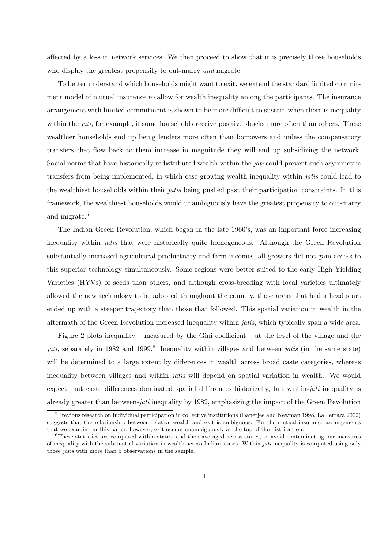affected by a loss in network services. We then proceed to show that it is precisely those households who display the greatest propensity to out-marry *and* migrate.

To better understand which households might want to exit, we extend the standard limited commitment model of mutual insurance to allow for wealth inequality among the participants. The insurance arrangement with limited commitment is shown to be more difficult to sustain when there is inequality within the *jati*, for example, if some households receive positive shocks more often than others. These wealthier households end up being lenders more often than borrowers and unless the compensatory transfers that flow back to them increase in magnitude they will end up subsidizing the network. Social norms that have historically redistributed wealth within the jati could prevent such asymmetric transfers from being implemented, in which case growing wealth inequality within jatis could lead to the wealthiest households within their jatis being pushed past their participation constraints. In this framework, the wealthiest households would unambiguously have the greatest propensity to out-marry and migrate.<sup>5</sup>

The Indian Green Revolution, which began in the late 1960's, was an important force increasing inequality within jatis that were historically quite homogeneous. Although the Green Revolution substantially increased agricultural productivity and farm incomes, all growers did not gain access to this superior technology simultaneously. Some regions were better suited to the early High Yielding Varieties (HYVs) of seeds than others, and although cross-breeding with local varieties ultimately allowed the new technology to be adopted throughout the country, those areas that had a head start ended up with a steeper trajectory than those that followed. This spatial variation in wealth in the aftermath of the Green Revolution increased inequality within jatis, which typically span a wide area.

Figure 2 plots inequality – measured by the Gini coefficient – at the level of the village and the jati, separately in 1982 and 1999.<sup>6</sup> Inequality within villages and between jatis (in the same state) will be determined to a large extent by differences in wealth across broad caste categories, whereas inequality between villages and within jatis will depend on spatial variation in wealth. We would expect that caste differences dominated spatial differences historically, but within-*jati* inequality is already greater than between-jati inequality by 1982, emphasizing the impact of the Green Revolution

 ${}^{5}$ Previous research on individual participation in collective institutions (Banerjee and Newman 1998, La Ferrara 2002) suggests that the relationship between relative wealth and exit is ambiguous. For the mutual insurance arrangements that we examine in this paper, however, exit occurs unambiguously at the top of the distribution.

<sup>6</sup>These statistics are computed within states, and then averaged across states, to avoid contaminating our measures of inequality with the substantial variation in wealth across Indian states. Within jati inequality is computed using only those jatis with more than 5 observations in the sample.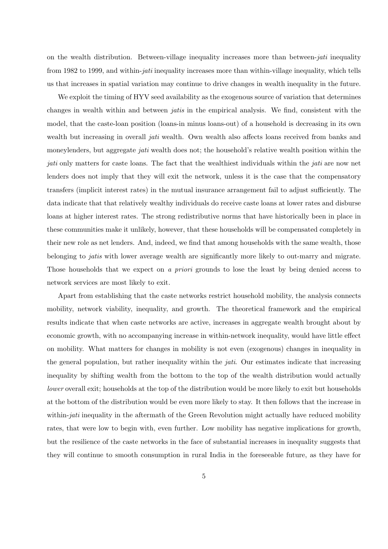on the wealth distribution. Between-village inequality increases more than between-jati inequality from 1982 to 1999, and within-jati inequality increases more than within-village inequality, which tells us that increases in spatial variation may continue to drive changes in wealth inequality in the future.

We exploit the timing of HYV seed availability as the exogenous source of variation that determines changes in wealth within and between jatis in the empirical analysis. We find, consistent with the model, that the caste-loan position (loans-in minus loans-out) of a household is decreasing in its own wealth but increasing in overall *jati* wealth. Own wealth also affects loans received from banks and moneylenders, but aggregate *jati* wealth does not; the household's relative wealth position within the jati only matters for caste loans. The fact that the wealthiest individuals within the *jati* are now net lenders does not imply that they will exit the network, unless it is the case that the compensatory transfers (implicit interest rates) in the mutual insurance arrangement fail to adjust sufficiently. The data indicate that that relatively wealthy individuals do receive caste loans at lower rates and disburse loans at higher interest rates. The strong redistributive norms that have historically been in place in these communities make it unlikely, however, that these households will be compensated completely in their new role as net lenders. And, indeed, we find that among households with the same wealth, those belonging to jatis with lower average wealth are significantly more likely to out-marry and migrate. Those households that we expect on a priori grounds to lose the least by being denied access to network services are most likely to exit.

Apart from establishing that the caste networks restrict household mobility, the analysis connects mobility, network viability, inequality, and growth. The theoretical framework and the empirical results indicate that when caste networks are active, increases in aggregate wealth brought about by economic growth, with no accompanying increase in within-network inequality, would have little effect on mobility. What matters for changes in mobility is not even (exogenous) changes in inequality in the general population, but rather inequality within the jati. Our estimates indicate that increasing inequality by shifting wealth from the bottom to the top of the wealth distribution would actually lower overall exit; households at the top of the distribution would be more likely to exit but households at the bottom of the distribution would be even more likely to stay. It then follows that the increase in within-*jati* inequality in the aftermath of the Green Revolution might actually have reduced mobility rates, that were low to begin with, even further. Low mobility has negative implications for growth, but the resilience of the caste networks in the face of substantial increases in inequality suggests that they will continue to smooth consumption in rural India in the foreseeable future, as they have for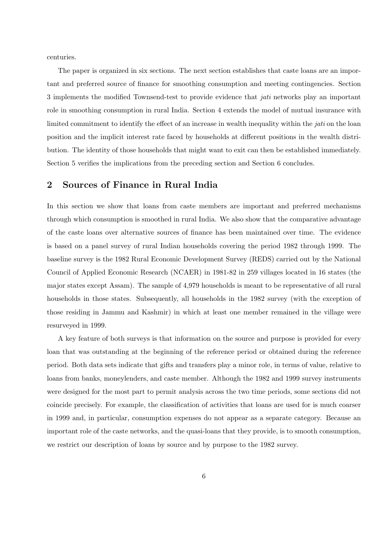centuries.

The paper is organized in six sections. The next section establishes that caste loans are an important and preferred source of finance for smoothing consumption and meeting contingencies. Section 3 implements the modified Townsend-test to provide evidence that jati networks play an important role in smoothing consumption in rural India. Section 4 extends the model of mutual insurance with limited commitment to identify the effect of an increase in wealth inequality within the *jati* on the loan position and the implicit interest rate faced by households at different positions in the wealth distribution. The identity of those households that might want to exit can then be established immediately. Section 5 verifies the implications from the preceding section and Section 6 concludes.

### 2 Sources of Finance in Rural India

In this section we show that loans from caste members are important and preferred mechanisms through which consumption is smoothed in rural India. We also show that the comparative advantage of the caste loans over alternative sources of finance has been maintained over time. The evidence is based on a panel survey of rural Indian households covering the period 1982 through 1999. The baseline survey is the 1982 Rural Economic Development Survey (REDS) carried out by the National Council of Applied Economic Research (NCAER) in 1981-82 in 259 villages located in 16 states (the major states except Assam). The sample of 4,979 households is meant to be representative of all rural households in those states. Subsequently, all households in the 1982 survey (with the exception of those residing in Jammu and Kashmir) in which at least one member remained in the village were resurveyed in 1999.

A key feature of both surveys is that information on the source and purpose is provided for every loan that was outstanding at the beginning of the reference period or obtained during the reference period. Both data sets indicate that gifts and transfers play a minor role, in terms of value, relative to loans from banks, moneylenders, and caste member. Although the 1982 and 1999 survey instruments were designed for the most part to permit analysis across the two time periods, some sections did not coincide precisely. For example, the classification of activities that loans are used for is much coarser in 1999 and, in particular, consumption expenses do not appear as a separate category. Because an important role of the caste networks, and the quasi-loans that they provide, is to smooth consumption, we restrict our description of loans by source and by purpose to the 1982 survey.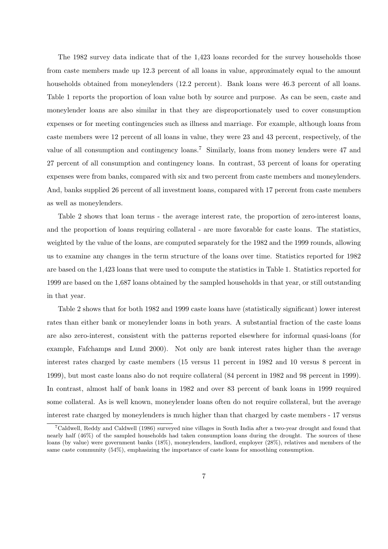The 1982 survey data indicate that of the 1,423 loans recorded for the survey households those from caste members made up 12.3 percent of all loans in value, approximately equal to the amount households obtained from moneylenders (12.2 percent). Bank loans were 46.3 percent of all loans. Table 1 reports the proportion of loan value both by source and purpose. As can be seen, caste and moneylender loans are also similar in that they are disproportionately used to cover consumption expenses or for meeting contingencies such as illness and marriage. For example, although loans from caste members were 12 percent of all loans in value, they were 23 and 43 percent, respectively, of the value of all consumption and contingency loans.<sup>7</sup> Similarly, loans from money lenders were 47 and 27 percent of all consumption and contingency loans. In contrast, 53 percent of loans for operating expenses were from banks, compared with six and two percent from caste members and moneylenders. And, banks supplied 26 percent of all investment loans, compared with 17 percent from caste members as well as moneylenders.

Table 2 shows that loan terms - the average interest rate, the proportion of zero-interest loans, and the proportion of loans requiring collateral - are more favorable for caste loans. The statistics, weighted by the value of the loans, are computed separately for the 1982 and the 1999 rounds, allowing us to examine any changes in the term structure of the loans over time. Statistics reported for 1982 are based on the 1,423 loans that were used to compute the statistics in Table 1. Statistics reported for 1999 are based on the 1,687 loans obtained by the sampled households in that year, or still outstanding in that year.

Table 2 shows that for both 1982 and 1999 caste loans have (statistically significant) lower interest rates than either bank or moneylender loans in both years. A substantial fraction of the caste loans are also zero-interest, consistent with the patterns reported elsewhere for informal quasi-loans (for example, Fafchamps and Lund 2000). Not only are bank interest rates higher than the average interest rates charged by caste members (15 versus 11 percent in 1982 and 10 versus 8 percent in 1999), but most caste loans also do not require collateral (84 percent in 1982 and 98 percent in 1999). In contrast, almost half of bank loans in 1982 and over 83 percent of bank loans in 1999 required some collateral. As is well known, moneylender loans often do not require collateral, but the average interest rate charged by moneylenders is much higher than that charged by caste members - 17 versus

<sup>7</sup>Caldwell, Reddy and Caldwell (1986) surveyed nine villages in South India after a two-year drought and found that nearly half (46%) of the sampled households had taken consumption loans during the drought. The sources of these loans (by value) were government banks (18%), moneylenders, landlord, employer (28%), relatives and members of the same caste community (54%), emphasizing the importance of caste loans for smoothing consumption.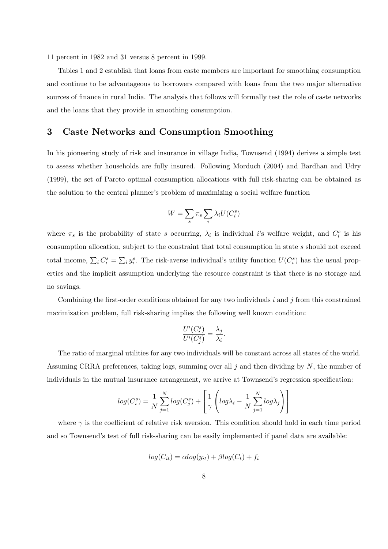11 percent in 1982 and 31 versus 8 percent in 1999.

Tables 1 and 2 establish that loans from caste members are important for smoothing consumption and continue to be advantageous to borrowers compared with loans from the two major alternative sources of finance in rural India. The analysis that follows will formally test the role of caste networks and the loans that they provide in smoothing consumption.

### 3 Caste Networks and Consumption Smoothing

In his pioneering study of risk and insurance in village India, Townsend (1994) derives a simple test to assess whether households are fully insured. Following Morduch (2004) and Bardhan and Udry (1999), the set of Pareto optimal consumption allocations with full risk-sharing can be obtained as the solution to the central planner's problem of maximizing a social welfare function

$$
W = \sum_{s} \pi_{s} \sum_{i} \lambda_{i} U(C_{i}^{s})
$$

where  $\pi_s$  is the probability of state s occurring,  $\lambda_i$  is individual i's welfare weight, and  $C_i^s$  is his consumption allocation, subject to the constraint that total consumption in state s should not exceed total income,  $\sum_i C_i^s = \sum_i y_i^s$ . The risk-averse individual's utility function  $U(C_i^s)$  has the usual properties and the implicit assumption underlying the resource constraint is that there is no storage and no savings.

Combining the first-order conditions obtained for any two individuals  $i$  and  $j$  from this constrained maximization problem, full risk-sharing implies the following well known condition:

$$
\frac{U'(C_i^s)}{U'(C_j^s)} = \frac{\lambda_j}{\lambda_i}.
$$

The ratio of marginal utilities for any two individuals will be constant across all states of the world. Assuming CRRA preferences, taking logs, summing over all  $j$  and then dividing by  $N$ , the number of individuals in the mutual insurance arrangement, we arrive at Townsend's regression specification:

$$
log(C_i^s) = \frac{1}{N} \sum_{j=1}^{N} log(C_j^s) + \left[ \frac{1}{\gamma} \left( log\lambda_i - \frac{1}{N} \sum_{j=1}^{N} log\lambda_j \right) \right]
$$

where  $\gamma$  is the coefficient of relative risk aversion. This condition should hold in each time period and so Townsend's test of full risk-sharing can be easily implemented if panel data are available:

$$
log(C_{it}) = \alpha log(y_{it}) + \beta log(C_{t}) + f_{i}
$$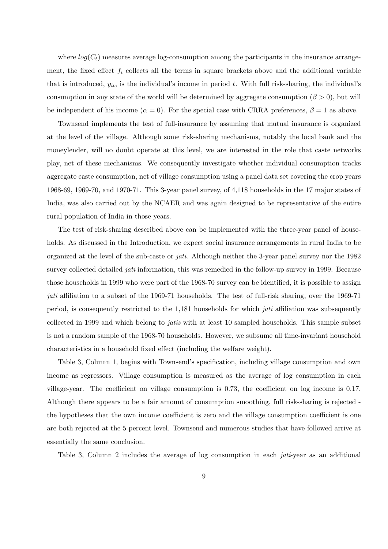where  $log(C_t)$  measures average log-consumption among the participants in the insurance arrangement, the fixed effect  $f_i$  collects all the terms in square brackets above and the additional variable that is introduced,  $y_{it}$ , is the individual's income in period t. With full risk-sharing, the individual's consumption in any state of the world will be determined by aggregate consumption ( $\beta > 0$ ), but will be independent of his income ( $\alpha = 0$ ). For the special case with CRRA preferences,  $\beta = 1$  as above.

Townsend implements the test of full-insurance by assuming that mutual insurance is organized at the level of the village. Although some risk-sharing mechanisms, notably the local bank and the moneylender, will no doubt operate at this level, we are interested in the role that caste networks play, net of these mechanisms. We consequently investigate whether individual consumption tracks aggregate caste consumption, net of village consumption using a panel data set covering the crop years 1968-69, 1969-70, and 1970-71. This 3-year panel survey, of 4,118 households in the 17 major states of India, was also carried out by the NCAER and was again designed to be representative of the entire rural population of India in those years.

The test of risk-sharing described above can be implemented with the three-year panel of households. As discussed in the Introduction, we expect social insurance arrangements in rural India to be organized at the level of the sub-caste or jati. Although neither the 3-year panel survey nor the 1982 survey collected detailed *jati* information, this was remedied in the follow-up survey in 1999. Because those households in 1999 who were part of the 1968-70 survey can be identified, it is possible to assign jati affiliation to a subset of the 1969-71 households. The test of full-risk sharing, over the 1969-71 period, is consequently restricted to the 1,181 households for which jati affiliation was subsequently collected in 1999 and which belong to jatis with at least 10 sampled households. This sample subset is not a random sample of the 1968-70 households. However, we subsume all time-invariant household characteristics in a household fixed effect (including the welfare weight).

Table 3, Column 1, begins with Townsend's specification, including village consumption and own income as regressors. Village consumption is measured as the average of log consumption in each village-year. The coefficient on village consumption is 0.73, the coefficient on log income is 0.17. Although there appears to be a fair amount of consumption smoothing, full risk-sharing is rejected the hypotheses that the own income coefficient is zero and the village consumption coefficient is one are both rejected at the 5 percent level. Townsend and numerous studies that have followed arrive at essentially the same conclusion.

Table 3, Column 2 includes the average of log consumption in each *jati-year* as an additional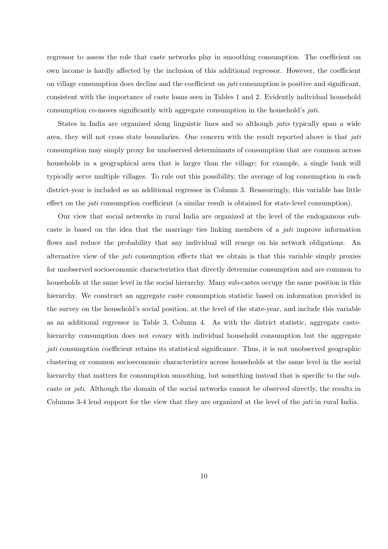regressor to assess the role that caste networks play in smoothing consumption. The coefficient on own income is hardly affected by the inclusion of this additional regressor. However, the coefficient on village consumption does decline and the coefficient on *jati* consumption is positive and significant, consistent with the importance of caste loans seen in Tables 1 and 2. Evidently individual household consumption co-moves significantly with aggregate consumption in the household's jati.

States in India are organized along linguistic lines and so although *jatis* typically span a wide area, they will not cross state boundaries. One concern with the result reported above is that *jati* consumption may simply proxy for unobserved determinants of consumption that are common across households in a geographical area that is larger than the village; for example, a single bank will typically serve multiple villages. To rule out this possibility, the average of log consumption in each district-year is included as an additional regressor in Column 3. Reassuringly, this variable has little effect on the jati consumption coefficient (a similar result is obtained for state-level consumption).

Our view that social networks in rural India are organized at the level of the endogamous subcaste is based on the idea that the marriage ties linking members of a jati improve information flows and reduce the probability that any individual will renege on his network obligations. An alternative view of the jati consumption effects that we obtain is that this variable simply proxies for unobserved socioeconomic characteristics that directly determine consumption and are common to households at the same level in the social hierarchy. Many sub-castes occupy the same position in this hierarchy. We construct an aggregate caste consumption statistic based on information provided in the survey on the household's social position, at the level of the state-year, and include this variable as an additional regressor in Table 3, Column 4. As with the district statistic, aggregate castehierarchy consumption does not covary with individual household consumption but the aggregate jati consumption coefficient retains its statistical significance. Thus, it is not unobserved geographic clustering or common socioeconomic characteristics across households at the same level in the social hierarchy that matters for consumption smoothing, but something instead that is specific to the subcaste or jati. Although the domain of the social networks cannot be observed directly, the results in Columns 3-4 lend support for the view that they are organized at the level of the jati in rural India.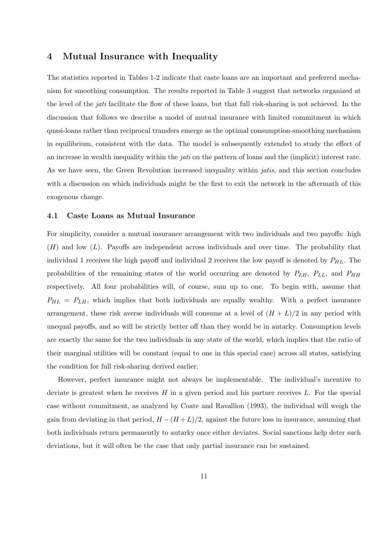### 4 Mutual Insurance with Inequality

The statistics reported in Tables 1-2 indicate that caste loans are an important and preferred mechanism for smoothing consumption. The results reported in Table 3 suggest that networks organized at the level of the jati facilitate the flow of these loans, but that full risk-sharing is not achieved. In the discussion that follows we describe a model of mutual insurance with limited commitment in which quasi-loans rather than reciprocal transfers emerge as the optimal consumption-smoothing mechanism in equilibrium, consistent with the data. The model is subsequently extended to study the effect of an increase in wealth inequality within the *jati* on the pattern of loans and the (implicit) interest rate. As we have seen, the Green Revolution increased inequality within *jatis*, and this section concludes with a discussion on which individuals might be the first to exit the network in the aftermath of this exogenous change.

#### 4.1 Caste Loans as Mutual Insurance

For simplicity, consider a mutual insurance arrangement with two individuals and two payoffs: high  $(H)$  and low  $(L)$ . Payoffs are independent across individuals and over time. The probability that individual 1 receives the high payoff and individual 2 receives the low payoff is denoted by  $P_{HL}$ . The probabilities of the remaining states of the world occurring are denoted by  $P_{LH}$ ,  $P_{LL}$ , and  $P_{HH}$ respectively. All four probabilities will, of course, sum up to one. To begin with, assume that  $P_{HL} = P_{LH}$ , which implies that both individuals are equally wealthy. With a perfect insurance arrangement, these risk averse individuals will consume at a level of  $(H + L)/2$  in any period with unequal payoffs, and so will be strictly better off than they would be in autarky. Consumption levels are exactly the same for the two individuals in any state of the world, which implies that the ratio of their marginal utilities will be constant (equal to one in this special case) across all states, satisfying the condition for full risk-sharing derived earlier.

However, perfect insurance might not always be implementable. The individual's incentive to deviate is greatest when he receives  $H$  in a given period and his partner receives  $L$ . For the special case without commitment, as analyzed by Coate and Ravallion (1993), the individual will weigh the gain from deviating in that period,  $H - (H + L)/2$ , against the future loss in insurance, assuming that both individuals return permanently to autarky once either deviates. Social sanctions help deter such deviations, but it will often be the case that only partial insurance can be sustained.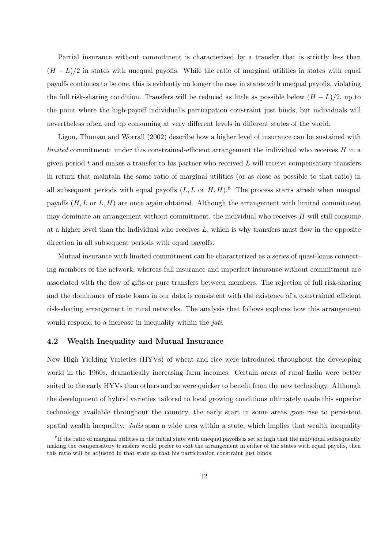Partial insurance without commitment is characterized by a transfer that is strictly less than  $(H - L)/2$  in states with unequal payoffs. While the ratio of marginal utilities in states with equal payoffs continues to be one, this is evidently no longer the case in states with unequal payoffs, violating the full risk-sharing condition. Transfers will be reduced as little as possible below  $(H - L)/2$ , up to the point where the high-payoff individual's participation constraint just binds, but individuals will nevertheless often end up consuming at very different levels in different states of the world.

Ligon, Thoman and Worrall (2002) describe how a higher level of insurance can be sustained with *limited* commitment: under this constrained-efficient arrangement the individual who receives  $H$  in a given period  $t$  and makes a transfer to his partner who received  $L$  will receive compensatory transfers in return that maintain the same ratio of marginal utilities (or as close as possible to that ratio) in all subsequent periods with equal payoffs  $(L, L \text{ or } H, H)$ .<sup>8</sup> The process starts afresh when unequal payoffs  $(H, L \text{ or } L, H)$  are once again obtained. Although the arrangement with limited commitment may dominate an arrangement without commitment, the individual who receives  $H$  will still consume at a higher level than the individual who receives  $L$ , which is why transfers must flow in the opposite direction in all subsequent periods with equal payoffs.

Mutual insurance with limited commitment can be characterized as a series of quasi-loans connecting members of the network, whereas full insurance and imperfect insurance without commitment are associated with the flow of gifts or pure transfers between members. The rejection of full risk-sharing and the dominance of caste loans in our data is consistent with the existence of a constrained efficient risk-sharing arrangement in rural networks. The analysis that follows explores how this arrangement would respond to a increase in inequality within the *jati*.

### 4.2 Wealth Inequality and Mutual Insurance

New High Yielding Varieties (HYVs) of wheat and rice were introduced throughout the developing world in the 1960s, dramatically increasing farm incomes. Certain areas of rural India were better suited to the early HYVs than others and so were quicker to benefit from the new technology. Although the development of hybrid varieties tailored to local growing conditions ultimately made this superior technology available throughout the country, the early start in some areas gave rise to persistent spatial wealth inequality. *Jatis* span a wide area within a state, which implies that wealth inequality

<sup>&</sup>lt;sup>8</sup>If the ratio of marginal utilities in the initial state with unequal payoffs is set so high that the individual subsequently making the compensatory transfers would prefer to exit the arrangement in either of the states with equal payoffs, then this ratio will be adjusted in that state so that his participation constraint just binds.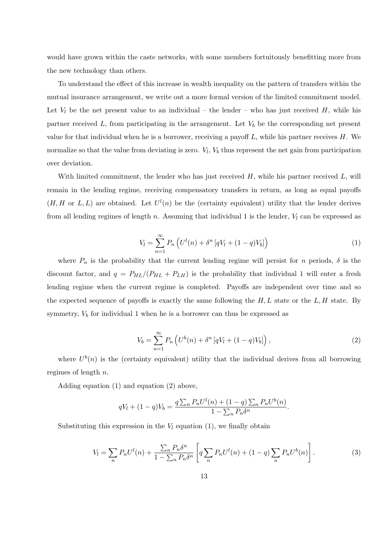would have grown within the caste networks, with some members fortuitously benefitting more from the new technology than others.

To understand the effect of this increase in wealth inequality on the pattern of transfers within the mutual insurance arrangement, we write out a more formal version of the limited commitment model. Let  $V_l$  be the net present value to an individual – the lender – who has just received H, while his partner received  $L$ , from participating in the arrangement. Let  $V<sub>b</sub>$  be the corresponding net present value for that individual when he is a borrower, receiving a payoff  $L$ , while his partner receives  $H$ . We normalize so that the value from deviating is zero.  $V_l$ ,  $V_b$  thus represent the net gain from participation over deviation.

With limited commitment, the lender who has just received  $H$ , while his partner received  $L$ , will remain in the lending regime, receiving compensatory transfers in return, as long as equal payoffs  $(H, H \text{ or } L, L)$  are obtained. Let  $U^{l}(n)$  be the (certainty equivalent) utility that the lender derives from all lending regimes of length n. Assuming that individual 1 is the lender,  $V_l$  can be expressed as

$$
V_l = \sum_{n=1}^{\infty} P_n \left( U^l(n) + \delta^n \left[ qV_l + (1-q)V_b \right] \right) \tag{1}
$$

where  $P_n$  is the probability that the current lending regime will persist for n periods,  $\delta$  is the discount factor, and  $q = P_{HL}/(P_{HL} + P_{LH})$  is the probability that individual 1 will enter a fresh lending regime when the current regime is completed. Payoffs are independent over time and so the expected sequence of payoffs is exactly the same following the  $H, L$  state or the  $L, H$  state. By symmetry,  $V_b$  for individual 1 when he is a borrower can thus be expressed as

$$
V_b = \sum_{n=1}^{\infty} P_n \left( U^b(n) + \delta^n \left[ qV_l + (1-q)V_b \right] \right), \tag{2}
$$

where  $U^b(n)$  is the (certainty equivalent) utility that the individual derives from all borrowing regimes of length n.

Adding equation (1) and equation (2) above,

$$
qV_l + (1-q)V_b = \frac{q \sum_n P_n U^l(n) + (1-q) \sum_n P_n U^b(n)}{1 - \sum_n P_n \delta^n}.
$$

Substituting this expression in the  $V_l$  equation (1), we finally obtain

$$
V_l = \sum_n P_n U^l(n) + \frac{\sum_n P_n \delta^n}{1 - \sum_n P_n \delta^n} \left[ q \sum_n P_n U^l(n) + (1 - q) \sum_n P_n U^b(n) \right].
$$
 (3)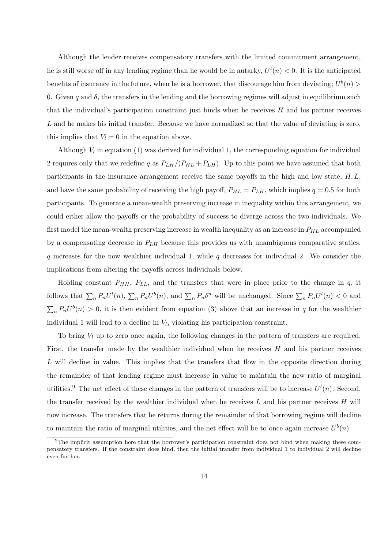Although the lender receives compensatory transfers with the limited commitment arrangement, he is still worse off in any lending regime than he would be in autarky,  $U^{(l)}(n) < 0$ . It is the anticipated benefits of insurance in the future, when he is a borrower, that discourage him from deviating;  $U^b(n)$ 0. Given q and  $\delta$ , the transfers in the lending and the borrowing regimes will adjust in equilibrium such that the individual's participation constraint just binds when he receives  $H$  and his partner receives L and he makes his initial transfer. Because we have normalized so that the value of deviating is zero, this implies that  $V_l = 0$  in the equation above.

Although  $V_l$  in equation (1) was derived for individual 1, the corresponding equation for individual 2 requires only that we redefine q as  $P_{LH}/(P_{HL}+P_{LH})$ . Up to this point we have assumed that both participants in the insurance arrangement receive the same payoffs in the high and low state,  $H, L$ , and have the same probability of receiving the high payoff,  $P_{HL} = P_{LH}$ , which implies  $q = 0.5$  for both participants. To generate a mean-wealth preserving increase in inequality within this arrangement, we could either allow the payoffs or the probability of success to diverge across the two individuals. We first model the mean-wealth preserving increase in wealth inequality as an increase in  $P_{HL}$  accompanied by a compensating decrease in  $P_{LH}$  because this provides us with unambiguous comparative statics. q increases for the now wealthier individual 1, while q decreases for individual 2. We consider the implications from altering the payoffs across individuals below.

Holding constant  $P_{HH}$ ,  $P_{LL}$ , and the transfers that were in place prior to the change in q, it follows that  $\sum_n P_n U^l(n)$ ,  $\sum_n P_n U^b(n)$ , and  $\sum_n P_n \delta^n$  will be unchanged. Since  $\sum_n P_n U^l(n) < 0$  and  $\sum_{n} P_n U^b(n) > 0$ , it is then evident from equation (3) above that an increase in q for the wealthier individual 1 will lead to a decline in  $V_l$ , violating his participation constraint.

To bring  $V_l$  up to zero once again, the following changes in the pattern of transfers are required. First, the transfer made by the wealthier individual when he receives  $H$  and his partner receives  $L$  will decline in value. This implies that the transfers that flow in the opposite direction during the remainder of that lending regime must increase in value to maintain the new ratio of marginal utilities.<sup>9</sup> The net effect of these changes in the pattern of transfers will be to increase  $U^{(l)}(n)$ . Second, the transfer received by the wealthier individual when he receives  $L$  and his partner receives  $H$  will now increase. The transfers that he returns during the remainder of that borrowing regime will decline to maintain the ratio of marginal utilities, and the net effect will be to once again increase  $U^b(n)$ .

<sup>9</sup>The implicit assumption here that the borrower's participation constraint does not bind when making these compensatory transfers. If the constraint does bind, then the initial transfer from individual 1 to individual 2 will decline even further.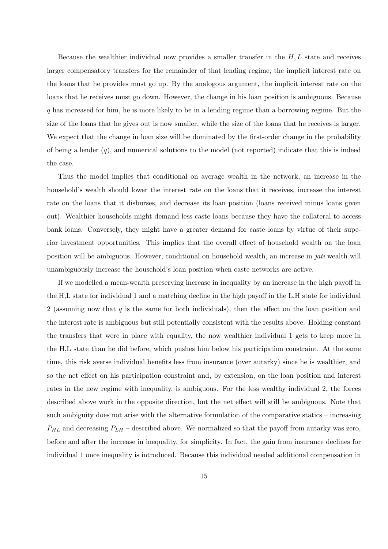Because the wealthier individual now provides a smaller transfer in the  $H, L$  state and receives larger compensatory transfers for the remainder of that lending regime, the implicit interest rate on the loans that he provides must go up. By the analogous argument, the implicit interest rate on the loans that he receives must go down. However, the change in his loan position is ambiguous. Because q has increased for him, he is more likely to be in a lending regime than a borrowing regime. But the size of the loans that he gives out is now smaller, while the size of the loans that he receives is larger. We expect that the change in loan size will be dominated by the first-order change in the probability of being a lender  $(q)$ , and numerical solutions to the model (not reported) indicate that this is indeed the case.

Thus the model implies that conditional on average wealth in the network, an increase in the household's wealth should lower the interest rate on the loans that it receives, increase the interest rate on the loans that it disburses, and decrease its loan position (loans received minus loans given out). Wealthier households might demand less caste loans because they have the collateral to access bank loans. Conversely, they might have a greater demand for caste loans by virtue of their superior investment opportunities. This implies that the overall effect of household wealth on the loan position will be ambiguous. However, conditional on household wealth, an increase in jati wealth will unambiguously increase the household's loan position when caste networks are active.

If we modelled a mean-wealth preserving increase in inequality by an increase in the high payoff in the H,L state for individual 1 and a matching decline in the high payoff in the L,H state for individual 2 (assuming now that  $q$  is the same for both individuals), then the effect on the loan position and the interest rate is ambiguous but still potentially consistent with the results above. Holding constant the transfers that were in place with equality, the now wealthier individual 1 gets to keep more in the H,L state than he did before, which pushes him below his participation constraint. At the same time, this risk averse individual benefits less from insurance (over autarky) since he is wealthier, and so the net effect on his participation constraint and, by extension, on the loan position and interest rates in the new regime with inequality, is ambiguous. For the less wealthy individual 2, the forces described above work in the opposite direction, but the net effect will still be ambiguous. Note that such ambiguity does not arise with the alternative formulation of the comparative statics – increasing  $P_{HL}$  and decreasing  $P_{LH}$  – described above. We normalized so that the payoff from autarky was zero, before and after the increase in inequality, for simplicity. In fact, the gain from insurance declines for individual 1 once inequality is introduced. Because this individual needed additional compensation in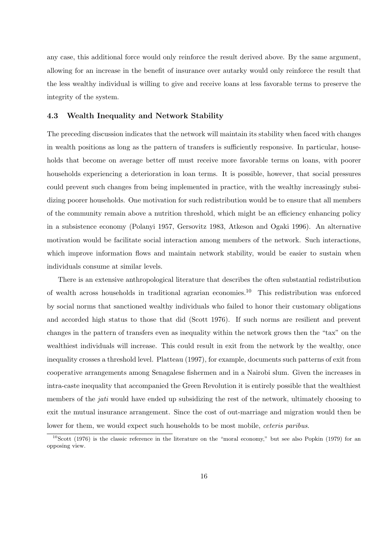any case, this additional force would only reinforce the result derived above. By the same argument, allowing for an increase in the benefit of insurance over autarky would only reinforce the result that the less wealthy individual is willing to give and receive loans at less favorable terms to preserve the integrity of the system.

#### 4.3 Wealth Inequality and Network Stability

The preceding discussion indicates that the network will maintain its stability when faced with changes in wealth positions as long as the pattern of transfers is sufficiently responsive. In particular, households that become on average better off must receive more favorable terms on loans, with poorer households experiencing a deterioration in loan terms. It is possible, however, that social pressures could prevent such changes from being implemented in practice, with the wealthy increasingly subsidizing poorer households. One motivation for such redistribution would be to ensure that all members of the community remain above a nutrition threshold, which might be an efficiency enhancing policy in a subsistence economy (Polanyi 1957, Gersovitz 1983, Atkeson and Ogaki 1996). An alternative motivation would be facilitate social interaction among members of the network. Such interactions, which improve information flows and maintain network stability, would be easier to sustain when individuals consume at similar levels.

There is an extensive anthropological literature that describes the often substantial redistribution of wealth across households in traditional agrarian economies.<sup>10</sup> This redistribution was enforced by social norms that sanctioned wealthy individuals who failed to honor their customary obligations and accorded high status to those that did (Scott 1976). If such norms are resilient and prevent changes in the pattern of transfers even as inequality within the network grows then the "tax" on the wealthiest individuals will increase. This could result in exit from the network by the wealthy, once inequality crosses a threshold level. Platteau (1997), for example, documents such patterns of exit from cooperative arrangements among Senagalese fishermen and in a Nairobi slum. Given the increases in intra-caste inequality that accompanied the Green Revolution it is entirely possible that the wealthiest members of the *jati* would have ended up subsidizing the rest of the network, ultimately choosing to exit the mutual insurance arrangement. Since the cost of out-marriage and migration would then be lower for them, we would expect such households to be most mobile, *ceteris paribus*.

 $10$ Scott (1976) is the classic reference in the literature on the "moral economy," but see also Popkin (1979) for an opposing view.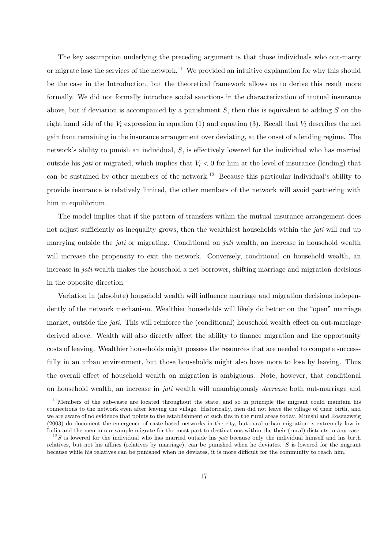The key assumption underlying the preceding argument is that those individuals who out-marry or migrate lose the services of the network.<sup>11</sup> We provided an intuitive explanation for why this should be the case in the Introduction, but the theoretical framework allows us to derive this result more formally. We did not formally introduce social sanctions in the characterization of mutual insurance above, but if deviation is accompanied by a punishment  $S$ , then this is equivalent to adding  $S$  on the right hand side of the  $V_l$  expression in equation (1) and equation (3). Recall that  $V_l$  describes the net gain from remaining in the insurance arrangement over deviating, at the onset of a lending regime. The network's ability to punish an individual, S, is effectively lowered for the individual who has married outside his *jati* or migrated, which implies that  $V_l < 0$  for him at the level of insurance (lending) that can be sustained by other members of the network.<sup>12</sup> Because this particular individual's ability to provide insurance is relatively limited, the other members of the network will avoid partnering with him in equilibrium.

The model implies that if the pattern of transfers within the mutual insurance arrangement does not adjust sufficiently as inequality grows, then the wealthiest households within the *jati* will end up marrying outside the *jati* or migrating. Conditional on *jati* wealth, an increase in household wealth will increase the propensity to exit the network. Conversely, conditional on household wealth, an increase in jati wealth makes the household a net borrower, shifting marriage and migration decisions in the opposite direction.

Variation in (absolute) household wealth will influence marriage and migration decisions independently of the network mechanism. Wealthier households will likely do better on the "open" marriage market, outside the jati. This will reinforce the (conditional) household wealth effect on out-marriage derived above. Wealth will also directly affect the ability to finance migration and the opportunity costs of leaving. Wealthier households might possess the resources that are needed to compete successfully in an urban environment, but those households might also have more to lose by leaving. Thus the overall effect of household wealth on migration is ambiguous. Note, however, that conditional on household wealth, an increase in jati wealth will unambiguously decrease both out-marriage and

<sup>&</sup>lt;sup>11</sup>Members of the sub-caste are located throughout the state, and so in principle the migrant could maintain his connections to the network even after leaving the village. Historically, men did not leave the village of their birth, and we are aware of no evidence that points to the establishment of such ties in the rural areas today. Munshi and Rosenzweig (2003) do document the emergence of caste-based networks in the city, but rural-urban migration is extremely low in India and the men in our sample migrate for the most part to destinations within the their (rural) districts in any case.

 $12S$  is lowered for the individual who has married outside his jati because only the individual himself and his birth relatives, but not his affines (relatives by marriage), can be punished when he deviates.  $S$  is lowered for the migrant because while his relatives can be punished when he deviates, it is more difficult for the community to reach him.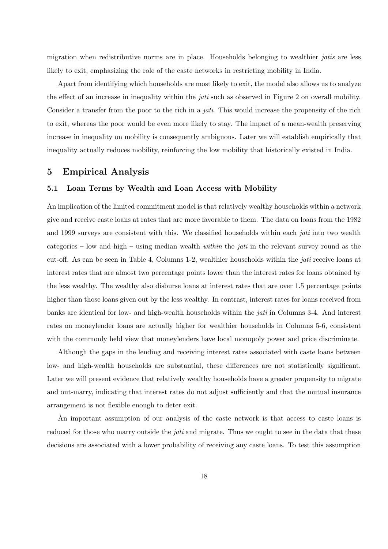migration when redistributive norms are in place. Households belonging to wealthier jatis are less likely to exit, emphasizing the role of the caste networks in restricting mobility in India.

Apart from identifying which households are most likely to exit, the model also allows us to analyze the effect of an increase in inequality within the *jati* such as observed in Figure 2 on overall mobility. Consider a transfer from the poor to the rich in a jati. This would increase the propensity of the rich to exit, whereas the poor would be even more likely to stay. The impact of a mean-wealth preserving increase in inequality on mobility is consequently ambiguous. Later we will establish empirically that inequality actually reduces mobility, reinforcing the low mobility that historically existed in India.

### 5 Empirical Analysis

### 5.1 Loan Terms by Wealth and Loan Access with Mobility

An implication of the limited commitment model is that relatively wealthy households within a network give and receive caste loans at rates that are more favorable to them. The data on loans from the 1982 and 1999 surveys are consistent with this. We classified households within each *jati* into two wealth categories – low and high – using median wealth *within* the *jati* in the relevant survey round as the cut-off. As can be seen in Table 4, Columns 1-2, wealthier households within the jati receive loans at interest rates that are almost two percentage points lower than the interest rates for loans obtained by the less wealthy. The wealthy also disburse loans at interest rates that are over 1.5 percentage points higher than those loans given out by the less wealthy. In contrast, interest rates for loans received from banks are identical for low- and high-wealth households within the jati in Columns 3-4. And interest rates on moneylender loans are actually higher for wealthier households in Columns 5-6, consistent with the commonly held view that moneylenders have local monopoly power and price discriminate.

Although the gaps in the lending and receiving interest rates associated with caste loans between low- and high-wealth households are substantial, these differences are not statistically significant. Later we will present evidence that relatively wealthy households have a greater propensity to migrate and out-marry, indicating that interest rates do not adjust sufficiently and that the mutual insurance arrangement is not flexible enough to deter exit.

An important assumption of our analysis of the caste network is that access to caste loans is reduced for those who marry outside the *jati* and migrate. Thus we ought to see in the data that these decisions are associated with a lower probability of receiving any caste loans. To test this assumption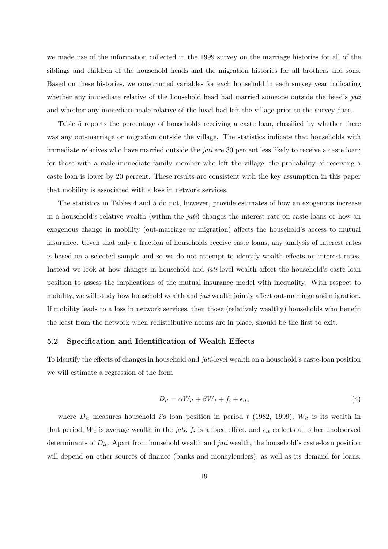we made use of the information collected in the 1999 survey on the marriage histories for all of the siblings and children of the household heads and the migration histories for all brothers and sons. Based on these histories, we constructed variables for each household in each survey year indicating whether any immediate relative of the household head had married someone outside the head's *jati* and whether any immediate male relative of the head had left the village prior to the survey date.

Table 5 reports the percentage of households receiving a caste loan, classified by whether there was any out-marriage or migration outside the village. The statistics indicate that households with immediate relatives who have married outside the *jati* are 30 percent less likely to receive a caste loan; for those with a male immediate family member who left the village, the probability of receiving a caste loan is lower by 20 percent. These results are consistent with the key assumption in this paper that mobility is associated with a loss in network services.

The statistics in Tables 4 and 5 do not, however, provide estimates of how an exogenous increase in a household's relative wealth (within the *jati*) changes the interest rate on caste loans or how an exogenous change in mobility (out-marriage or migration) affects the household's access to mutual insurance. Given that only a fraction of households receive caste loans, any analysis of interest rates is based on a selected sample and so we do not attempt to identify wealth effects on interest rates. Instead we look at how changes in household and *jati*-level wealth affect the household's caste-loan position to assess the implications of the mutual insurance model with inequality. With respect to mobility, we will study how household wealth and *jati* wealth jointly affect out-marriage and migration. If mobility leads to a loss in network services, then those (relatively wealthy) households who benefit the least from the network when redistributive norms are in place, should be the first to exit.

#### 5.2 Specification and Identification of Wealth Effects

To identify the effects of changes in household and jati-level wealth on a household's caste-loan position we will estimate a regression of the form

$$
D_{it} = \alpha W_{it} + \beta \overline{W}_t + f_i + \epsilon_{it},\tag{4}
$$

where  $D_{it}$  measures household i's loan position in period t (1982, 1999),  $W_{it}$  is its wealth in that period,  $W_t$  is average wealth in the *jati*,  $f_i$  is a fixed effect, and  $\epsilon_{it}$  collects all other unobserved determinants of  $D_{it}$ . Apart from household wealth and *jati* wealth, the household's caste-loan position will depend on other sources of finance (banks and moneylenders), as well as its demand for loans.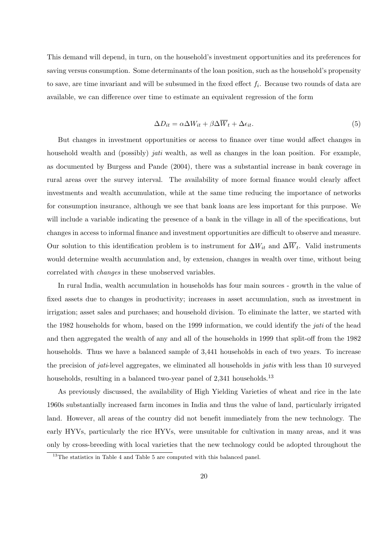This demand will depend, in turn, on the household's investment opportunities and its preferences for saving versus consumption. Some determinants of the loan position, such as the household's propensity to save, are time invariant and will be subsumed in the fixed effect  $f_i$ . Because two rounds of data are available, we can difference over time to estimate an equivalent regression of the form

$$
\Delta D_{it} = \alpha \Delta W_{it} + \beta \Delta \overline{W}_t + \Delta \epsilon_{it}.
$$
\n<sup>(5)</sup>

But changes in investment opportunities or access to finance over time would affect changes in household wealth and (possibly) *jati* wealth, as well as changes in the loan position. For example, as documented by Burgess and Pande (2004), there was a substantial increase in bank coverage in rural areas over the survey interval. The availability of more formal finance would clearly affect investments and wealth accumulation, while at the same time reducing the importance of networks for consumption insurance, although we see that bank loans are less important for this purpose. We will include a variable indicating the presence of a bank in the village in all of the specifications, but changes in access to informal finance and investment opportunities are difficult to observe and measure. Our solution to this identification problem is to instrument for  $\Delta W_{it}$  and  $\Delta W_t$ . Valid instruments would determine wealth accumulation and, by extension, changes in wealth over time, without being correlated with changes in these unobserved variables.

In rural India, wealth accumulation in households has four main sources - growth in the value of fixed assets due to changes in productivity; increases in asset accumulation, such as investment in irrigation; asset sales and purchases; and household division. To eliminate the latter, we started with the 1982 households for whom, based on the 1999 information, we could identify the jati of the head and then aggregated the wealth of any and all of the households in 1999 that split-off from the 1982 households. Thus we have a balanced sample of 3,441 households in each of two years. To increase the precision of *jati*-level aggregates, we eliminated all households in *jatis* with less than 10 surveyed households, resulting in a balanced two-year panel of  $2,341$  households.<sup>13</sup>

As previously discussed, the availability of High Yielding Varieties of wheat and rice in the late 1960s substantially increased farm incomes in India and thus the value of land, particularly irrigated land. However, all areas of the country did not benefit immediately from the new technology. The early HYVs, particularly the rice HYVs, were unsuitable for cultivation in many areas, and it was only by cross-breeding with local varieties that the new technology could be adopted throughout the

 $13$ The statistics in Table 4 and Table 5 are computed with this balanced panel.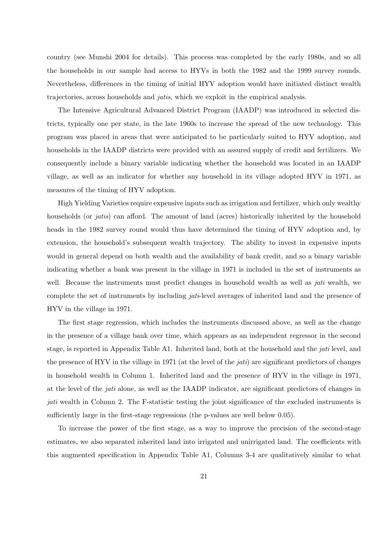country (see Munshi 2004 for details). This process was completed by the early 1980s, and so all the households in our sample had access to HYVs in both the 1982 and the 1999 survey rounds. Nevertheless, differences in the timing of initial HYV adoption would have initiated distinct wealth trajectories, across households and jatis, which we exploit in the empirical analysis.

The Intensive Agricultural Advanced District Program (IAADP) was introduced in selected districts, typically one per state, in the late 1960s to increase the spread of the new technology. This program was placed in areas that were anticipated to be particularly suited to HYV adoption, and households in the IAADP districts were provided with an assured supply of credit and fertilizers. We consequently include a binary variable indicating whether the household was located in an IAADP village, as well as an indicator for whether any household in its village adopted HYV in 1971, as measures of the timing of HYV adoption.

High Yielding Varieties require expensive inputs such as irrigation and fertilizer, which only wealthy households (or *jatis*) can afford. The amount of land (acres) historically inherited by the household heads in the 1982 survey round would thus have determined the timing of HYV adoption and, by extension, the household's subsequent wealth trajectory. The ability to invest in expensive inputs would in general depend on both wealth and the availability of bank credit, and so a binary variable indicating whether a bank was present in the village in 1971 is included in the set of instruments as well. Because the instruments must predict changes in household wealth as well as *jati* wealth, we complete the set of instruments by including jati-level averages of inherited land and the presence of HYV in the village in 1971.

The first stage regression, which includes the instruments discussed above, as well as the change in the presence of a village bank over time, which appears as an independent regressor in the second stage, is reported in Appendix Table A1. Inherited land, both at the household and the jati level, and the presence of HYV in the village in 1971 (at the level of the *jati*) are significant predictors of changes in household wealth in Column 1. Inherited land and the presence of HYV in the village in 1971, at the level of the jati alone, as well as the IAADP indicator, are significant predictors of changes in jati wealth in Column 2. The F-statistic testing the joint significance of the excluded instruments is sufficiently large in the first-stage regressions (the p-values are well below 0.05).

To increase the power of the first stage, as a way to improve the precision of the second-stage estimates, we also separated inherited land into irrigated and unirrigated land. The coefficients with this augmented specification in Appendix Table A1, Columns 3-4 are qualitatively similar to what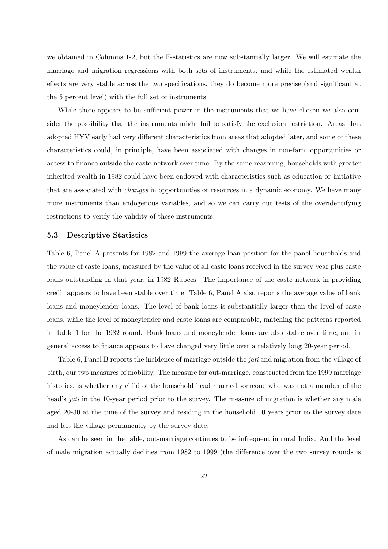we obtained in Columns 1-2, but the F-statistics are now substantially larger. We will estimate the marriage and migration regressions with both sets of instruments, and while the estimated wealth effects are very stable across the two specifications, they do become more precise (and significant at the 5 percent level) with the full set of instruments.

While there appears to be sufficient power in the instruments that we have chosen we also consider the possibility that the instruments might fail to satisfy the exclusion restriction. Areas that adopted HYV early had very different characteristics from areas that adopted later, and some of these characteristics could, in principle, have been associated with changes in non-farm opportunities or access to finance outside the caste network over time. By the same reasoning, households with greater inherited wealth in 1982 could have been endowed with characteristics such as education or initiative that are associated with changes in opportunities or resources in a dynamic economy. We have many more instruments than endogenous variables, and so we can carry out tests of the overidentifying restrictions to verify the validity of these instruments.

#### 5.3 Descriptive Statistics

Table 6, Panel A presents for 1982 and 1999 the average loan position for the panel households and the value of caste loans, measured by the value of all caste loans received in the survey year plus caste loans outstanding in that year, in 1982 Rupees. The importance of the caste network in providing credit appears to have been stable over time. Table 6, Panel A also reports the average value of bank loans and moneylender loans. The level of bank loans is substantially larger than the level of caste loans, while the level of moneylender and caste loans are comparable, matching the patterns reported in Table 1 for the 1982 round. Bank loans and moneylender loans are also stable over time, and in general access to finance appears to have changed very little over a relatively long 20-year period.

Table 6, Panel B reports the incidence of marriage outside the *jati* and migration from the village of birth, our two measures of mobility. The measure for out-marriage, constructed from the 1999 marriage histories, is whether any child of the household head married someone who was not a member of the head's *jati* in the 10-year period prior to the survey. The measure of migration is whether any male aged 20-30 at the time of the survey and residing in the household 10 years prior to the survey date had left the village permanently by the survey date.

As can be seen in the table, out-marriage continues to be infrequent in rural India. And the level of male migration actually declines from 1982 to 1999 (the difference over the two survey rounds is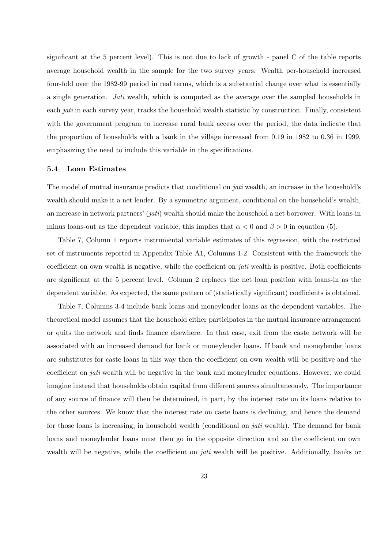significant at the 5 percent level). This is not due to lack of growth - panel C of the table reports average household wealth in the sample for the two survey years. Wealth per-household increased four-fold over the 1982-99 period in real terms, which is a substantial change over what is essentially a single generation. Jati wealth, which is computed as the average over the sampled households in each jati in each survey year, tracks the household wealth statistic by construction. Finally, consistent with the government program to increase rural bank access over the period, the data indicate that the proportion of households with a bank in the village increased from 0.19 in 1982 to 0.36 in 1999, emphasizing the need to include this variable in the specifications.

#### 5.4 Loan Estimates

The model of mutual insurance predicts that conditional on *jati* wealth, an increase in the household's wealth should make it a net lender. By a symmetric argument, conditional on the household's wealth, an increase in network partners' (jati) wealth should make the household a net borrower. With loans-in minus loans-out as the dependent variable, this implies that  $\alpha < 0$  and  $\beta > 0$  in equation (5).

Table 7, Column 1 reports instrumental variable estimates of this regression, with the restricted set of instruments reported in Appendix Table A1, Columns 1-2. Consistent with the framework the coefficient on own wealth is negative, while the coefficient on jati wealth is positive. Both coefficients are significant at the 5 percent level. Column 2 replaces the net loan position with loans-in as the dependent variable. As expected, the same pattern of (statistically significant) coefficients is obtained.

Table 7, Columns 3-4 include bank loans and moneylender loans as the dependent variables. The theoretical model assumes that the household either participates in the mutual insurance arrangement or quits the network and finds finance elsewhere. In that case, exit from the caste network will be associated with an increased demand for bank or moneylender loans. If bank and moneylender loans are substitutes for caste loans in this way then the coefficient on own wealth will be positive and the coefficient on jati wealth will be negative in the bank and moneylender equations. However, we could imagine instead that households obtain capital from different sources simultaneously. The importance of any source of finance will then be determined, in part, by the interest rate on its loans relative to the other sources. We know that the interest rate on caste loans is declining, and hence the demand for those loans is increasing, in household wealth (conditional on *jati* wealth). The demand for bank loans and moneylender loans must then go in the opposite direction and so the coefficient on own wealth will be negative, while the coefficient on *jati* wealth will be positive. Additionally, banks or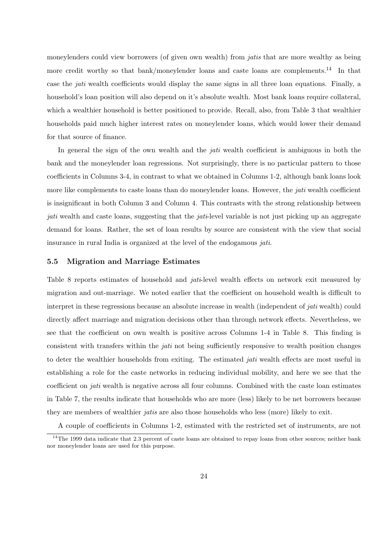moneylenders could view borrowers (of given own wealth) from *jatis* that are more wealthy as being more credit worthy so that bank/moneylender loans and caste loans are complements.<sup>14</sup> In that case the jati wealth coefficients would display the same signs in all three loan equations. Finally, a household's loan position will also depend on it's absolute wealth. Most bank loans require collateral, which a wealthier household is better positioned to provide. Recall, also, from Table 3 that wealthier households paid much higher interest rates on moneylender loans, which would lower their demand for that source of finance.

In general the sign of the own wealth and the *jati* wealth coefficient is ambiguous in both the bank and the moneylender loan regressions. Not surprisingly, there is no particular pattern to those coefficients in Columns 3-4, in contrast to what we obtained in Columns 1-2, although bank loans look more like complements to caste loans than do moneylender loans. However, the *jati* wealth coefficient is insignificant in both Column 3 and Column 4. This contrasts with the strong relationship between jati wealth and caste loans, suggesting that the *jati*-level variable is not just picking up an aggregate demand for loans. Rather, the set of loan results by source are consistent with the view that social insurance in rural India is organized at the level of the endogamous jati.

#### 5.5 Migration and Marriage Estimates

Table 8 reports estimates of household and *jati*-level wealth effects on network exit measured by migration and out-marriage. We noted earlier that the coefficient on household wealth is difficult to interpret in these regressions because an absolute increase in wealth (independent of jati wealth) could directly affect marriage and migration decisions other than through network effects. Nevertheless, we see that the coefficient on own wealth is positive across Columns 1-4 in Table 8. This finding is consistent with transfers within the jati not being sufficiently responsive to wealth position changes to deter the wealthier households from exiting. The estimated *jati* wealth effects are most useful in establishing a role for the caste networks in reducing individual mobility, and here we see that the coefficient on jati wealth is negative across all four columns. Combined with the caste loan estimates in Table 7, the results indicate that households who are more (less) likely to be net borrowers because they are members of wealthier jatis are also those households who less (more) likely to exit.

A couple of coefficients in Columns 1-2, estimated with the restricted set of instruments, are not

 $14$ The 1999 data indicate that 2.3 percent of caste loans are obtained to repay loans from other sources; neither bank nor moneylender loans are used for this purpose.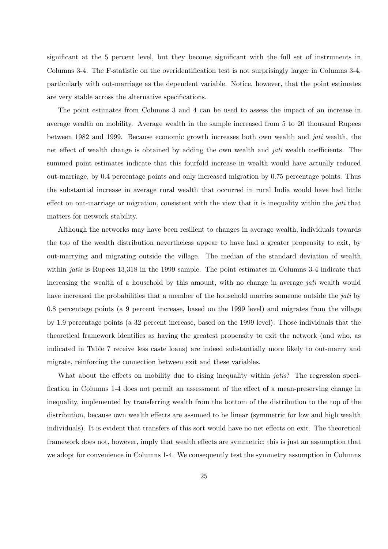significant at the 5 percent level, but they become significant with the full set of instruments in Columns 3-4. The F-statistic on the overidentification test is not surprisingly larger in Columns 3-4, particularly with out-marriage as the dependent variable. Notice, however, that the point estimates are very stable across the alternative specifications.

The point estimates from Columns 3 and 4 can be used to assess the impact of an increase in average wealth on mobility. Average wealth in the sample increased from 5 to 20 thousand Rupees between 1982 and 1999. Because economic growth increases both own wealth and jati wealth, the net effect of wealth change is obtained by adding the own wealth and jati wealth coefficients. The summed point estimates indicate that this fourfold increase in wealth would have actually reduced out-marriage, by 0.4 percentage points and only increased migration by 0.75 percentage points. Thus the substantial increase in average rural wealth that occurred in rural India would have had little effect on out-marriage or migration, consistent with the view that it is inequality within the *jati* that matters for network stability.

Although the networks may have been resilient to changes in average wealth, individuals towards the top of the wealth distribution nevertheless appear to have had a greater propensity to exit, by out-marrying and migrating outside the village. The median of the standard deviation of wealth within *jatis* is Rupees 13,318 in the 1999 sample. The point estimates in Columns 3-4 indicate that increasing the wealth of a household by this amount, with no change in average *jati* wealth would have increased the probabilities that a member of the household marries someone outside the *jati* by 0.8 percentage points (a 9 percent increase, based on the 1999 level) and migrates from the village by 1.9 percentage points (a 32 percent increase, based on the 1999 level). Those individuals that the theoretical framework identifies as having the greatest propensity to exit the network (and who, as indicated in Table 7 receive less caste loans) are indeed substantially more likely to out-marry and migrate, reinforcing the connection between exit and these variables.

What about the effects on mobility due to rising inequality within *jatis*? The regression specification in Columns 1-4 does not permit an assessment of the effect of a mean-preserving change in inequality, implemented by transferring wealth from the bottom of the distribution to the top of the distribution, because own wealth effects are assumed to be linear (symmetric for low and high wealth individuals). It is evident that transfers of this sort would have no net effects on exit. The theoretical framework does not, however, imply that wealth effects are symmetric; this is just an assumption that we adopt for convenience in Columns 1-4. We consequently test the symmetry assumption in Columns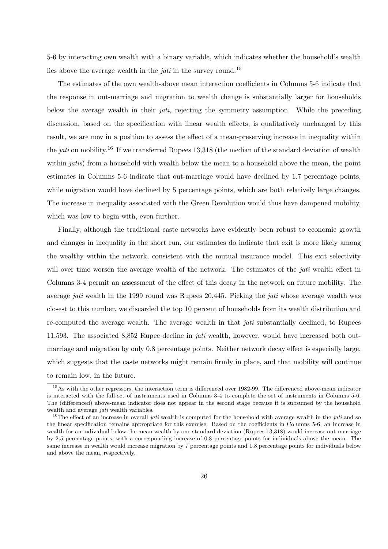5-6 by interacting own wealth with a binary variable, which indicates whether the household's wealth lies above the average wealth in the *jati* in the survey round.<sup>15</sup>

The estimates of the own wealth-above mean interaction coefficients in Columns 5-6 indicate that the response in out-marriage and migration to wealth change is substantially larger for households below the average wealth in their *jati*, rejecting the symmetry assumption. While the preceding discussion, based on the specification with linear wealth effects, is qualitatively unchanged by this result, we are now in a position to assess the effect of a mean-preserving increase in inequality within the *jati* on mobility.<sup>16</sup> If we transferred Rupees 13,318 (the median of the standard deviation of wealth within *jatis*) from a household with wealth below the mean to a household above the mean, the point estimates in Columns 5-6 indicate that out-marriage would have declined by 1.7 percentage points, while migration would have declined by 5 percentage points, which are both relatively large changes. The increase in inequality associated with the Green Revolution would thus have dampened mobility, which was low to begin with, even further.

Finally, although the traditional caste networks have evidently been robust to economic growth and changes in inequality in the short run, our estimates do indicate that exit is more likely among the wealthy within the network, consistent with the mutual insurance model. This exit selectivity will over time worsen the average wealth of the network. The estimates of the *jati* wealth effect in Columns 3-4 permit an assessment of the effect of this decay in the network on future mobility. The average jati wealth in the 1999 round was Rupees 20,445. Picking the jati whose average wealth was closest to this number, we discarded the top 10 percent of households from its wealth distribution and re-computed the average wealth. The average wealth in that jati substantially declined, to Rupees 11,593. The associated 8,852 Rupee decline in jati wealth, however, would have increased both outmarriage and migration by only 0.8 percentage points. Neither network decay effect is especially large, which suggests that the caste networks might remain firmly in place, and that mobility will continue to remain low, in the future.

<sup>&</sup>lt;sup>15</sup>As with the other regressors, the interaction term is differenced over 1982-99. The differenced above-mean indicator is interacted with the full set of instruments used in Columns 3-4 to complete the set of instruments in Columns 5-6. The (differenced) above-mean indicator does not appear in the second stage because it is subsumed by the household wealth and average *jati* wealth variables.

<sup>&</sup>lt;sup>16</sup>The effect of an increase in overall *jati* wealth is computed for the household with average wealth in the *jati* and so the linear specification remains appropriate for this exercise. Based on the coefficients in Columns 5-6, an increase in wealth for an individual below the mean wealth by one standard deviation (Rupees 13,318) would increase out-marriage by 2.5 percentage points, with a corresponding increase of 0.8 percentage points for individuals above the mean. The same increase in wealth would increase migration by 7 percentage points and 1.8 percentage points for individuals below and above the mean, respectively.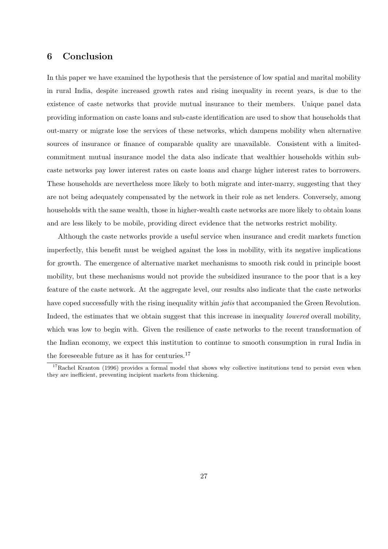### 6 Conclusion

In this paper we have examined the hypothesis that the persistence of low spatial and marital mobility in rural India, despite increased growth rates and rising inequality in recent years, is due to the existence of caste networks that provide mutual insurance to their members. Unique panel data providing information on caste loans and sub-caste identification are used to show that households that out-marry or migrate lose the services of these networks, which dampens mobility when alternative sources of insurance or finance of comparable quality are unavailable. Consistent with a limitedcommitment mutual insurance model the data also indicate that wealthier households within subcaste networks pay lower interest rates on caste loans and charge higher interest rates to borrowers. These households are nevertheless more likely to both migrate and inter-marry, suggesting that they are not being adequately compensated by the network in their role as net lenders. Conversely, among households with the same wealth, those in higher-wealth caste networks are more likely to obtain loans and are less likely to be mobile, providing direct evidence that the networks restrict mobility.

Although the caste networks provide a useful service when insurance and credit markets function imperfectly, this benefit must be weighed against the loss in mobility, with its negative implications for growth. The emergence of alternative market mechanisms to smooth risk could in principle boost mobility, but these mechanisms would not provide the subsidized insurance to the poor that is a key feature of the caste network. At the aggregate level, our results also indicate that the caste networks have coped successfully with the rising inequality within *jatis* that accompanied the Green Revolution. Indeed, the estimates that we obtain suggest that this increase in inequality lowered overall mobility, which was low to begin with. Given the resilience of caste networks to the recent transformation of the Indian economy, we expect this institution to continue to smooth consumption in rural India in the foreseeable future as it has for centuries. $17$ 

 $17$ Rachel Kranton (1996) provides a formal model that shows why collective institutions tend to persist even when they are inefficient, preventing incipient markets from thickening.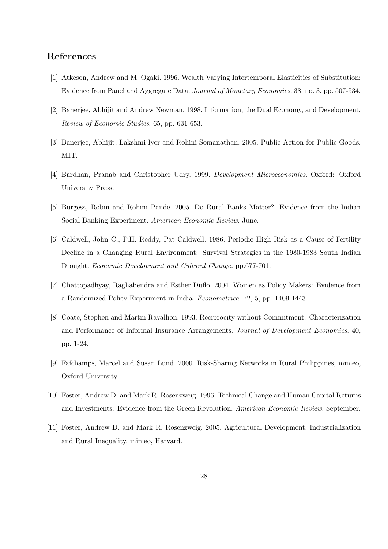### References

- [1] Atkeson, Andrew and M. Ogaki. 1996. Wealth Varying Intertemporal Elasticities of Substitution: Evidence from Panel and Aggregate Data. Journal of Monetary Economics. 38, no. 3, pp. 507-534.
- [2] Banerjee, Abhijit and Andrew Newman. 1998. Information, the Dual Economy, and Development. Review of Economic Studies. 65, pp. 631-653.
- [3] Banerjee, Abhijit, Lakshmi Iyer and Rohini Somanathan. 2005. Public Action for Public Goods. MIT.
- [4] Bardhan, Pranab and Christopher Udry. 1999. Development Microeconomics. Oxford: Oxford University Press.
- [5] Burgess, Robin and Rohini Pande. 2005. Do Rural Banks Matter? Evidence from the Indian Social Banking Experiment. American Economic Review. June.
- [6] Caldwell, John C., P.H. Reddy, Pat Caldwell. 1986. Periodic High Risk as a Cause of Fertility Decline in a Changing Rural Environment: Survival Strategies in the 1980-1983 South Indian Drought. Economic Development and Cultural Change. pp.677-701.
- [7] Chattopadhyay, Raghabendra and Esther Duflo. 2004. Women as Policy Makers: Evidence from a Randomized Policy Experiment in India. Econometrica. 72, 5, pp. 1409-1443.
- [8] Coate, Stephen and Martin Ravallion. 1993. Reciprocity without Commitment: Characterization and Performance of Informal Insurance Arrangements. Journal of Development Economics. 40, pp. 1-24.
- [9] Fafchamps, Marcel and Susan Lund. 2000. Risk-Sharing Networks in Rural Philippines, mimeo, Oxford University.
- [10] Foster, Andrew D. and Mark R. Rosenzweig. 1996. Technical Change and Human Capital Returns and Investments: Evidence from the Green Revolution. American Economic Review. September.
- [11] Foster, Andrew D. and Mark R. Rosenzweig. 2005. Agricultural Development, Industrialization and Rural Inequality, mimeo, Harvard.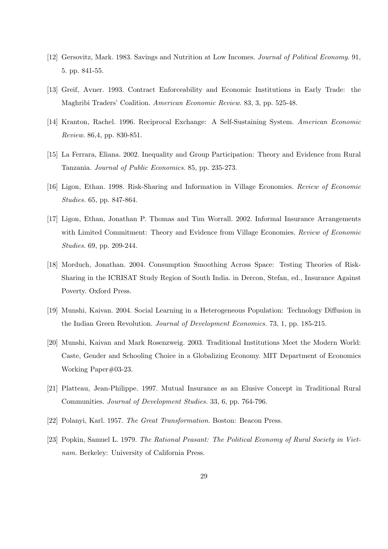- [12] Gersovitz, Mark. 1983. Savings and Nutrition at Low Incomes. Journal of Political Economy. 91, 5. pp. 841-55.
- [13] Greif, Avner. 1993. Contract Enforceability and Economic Institutions in Early Trade: the Maghribi Traders' Coalition. American Economic Review. 83, 3, pp. 525-48.
- [14] Kranton, Rachel. 1996. Reciprocal Exchange: A Self-Sustaining System. American Economic Review. 86,4, pp. 830-851.
- [15] La Ferrara, Eliana. 2002. Inequality and Group Participation: Theory and Evidence from Rural Tanzania. Journal of Public Economics. 85, pp. 235-273.
- [16] Ligon, Ethan. 1998. Risk-Sharing and Information in Village Economies. Review of Economic Studies. 65, pp. 847-864.
- [17] Ligon, Ethan, Jonathan P. Thomas and Tim Worrall. 2002. Informal Insurance Arrangements with Limited Commitment: Theory and Evidence from Village Economies. Review of Economic Studies. 69, pp. 209-244.
- [18] Morduch, Jonathan. 2004. Consumption Smoothing Across Space: Testing Theories of Risk-Sharing in the ICRISAT Study Region of South India. in Dercon, Stefan, ed., Insurance Against Poverty. Oxford Press.
- [19] Munshi, Kaivan. 2004. Social Learning in a Heterogeneous Population: Technology Diffusion in the Indian Green Revolution. Journal of Development Economics. 73, 1, pp. 185-215.
- [20] Munshi, Kaivan and Mark Rosenzweig. 2003. Traditional Institutions Meet the Modern World: Caste, Gender and Schooling Choice in a Globalizing Economy. MIT Department of Economics Working Paper#03-23.
- [21] Platteau, Jean-Philippe. 1997. Mutual Insurance as an Elusive Concept in Traditional Rural Communities. Journal of Development Studies. 33, 6, pp. 764-796.
- [22] Polanyi, Karl. 1957. The Great Transformation. Boston: Beacon Press.
- [23] Popkin, Samuel L. 1979. The Rational Peasant: The Political Economy of Rural Society in Vietnam. Berkeley: University of California Press.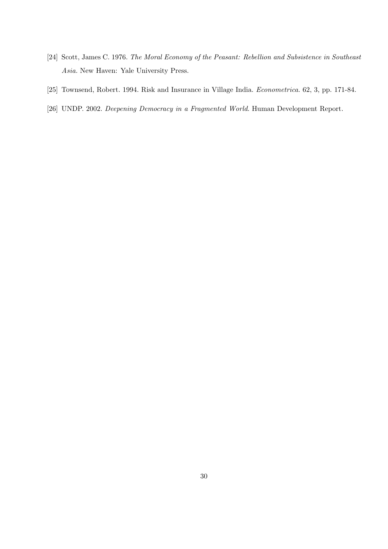- [24] Scott, James C. 1976. The Moral Economy of the Peasant: Rebellion and Subsistence in Southeast Asia. New Haven: Yale University Press.
- [25] Townsend, Robert. 1994. Risk and Insurance in Village India. Econometrica. 62, 3, pp. 171-84.
- [26] UNDP. 2002. Deepening Democracy in a Fragmented World. Human Development Report.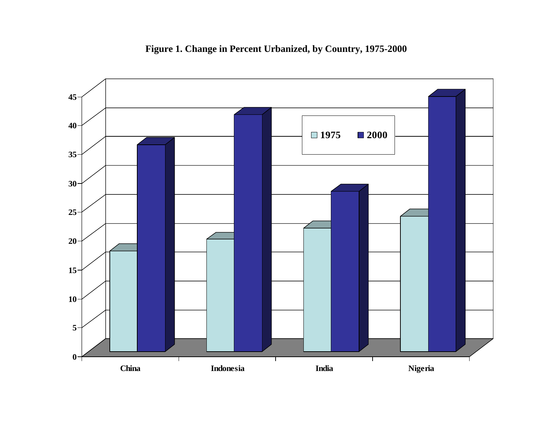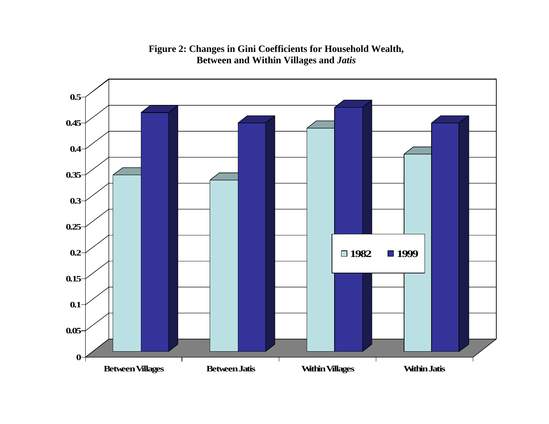## **Figure 2: Changes in Gini Coefficients for Household Wealth, Between and Within Villages and** *Jatis*

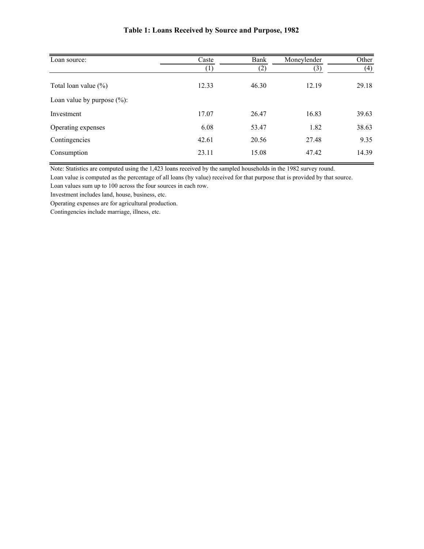| Loan source:                   | Caste             | Bank  | Moneylender | Other |
|--------------------------------|-------------------|-------|-------------|-------|
|                                | $\left( 1\right)$ | (2)   | (3)         | (4)   |
| Total loan value $(\% )$       | 12.33             | 46.30 | 12.19       | 29.18 |
| Loan value by purpose $(\%)$ : |                   |       |             |       |
| Investment                     | 17.07             | 26.47 | 16.83       | 39.63 |
| Operating expenses             | 6.08              | 53.47 | 1.82        | 38.63 |
| Contingencies                  | 42.61             | 20.56 | 27.48       | 9.35  |
| Consumption                    | 23.11             | 15.08 | 47.42       | 14.39 |
|                                |                   |       |             |       |

### **Table 1: Loans Received by Source and Purpose, 1982**

Note: Statistics are computed using the 1,423 loans received by the sampled households in the 1982 survey round.

Loan value is computed as the percentage of all loans (by value) received for that purpose that is provided by that source.

Loan values sum up to 100 across the four sources in each row.

Investment includes land, house, business, etc.

Operating expenses are for agricultural production.

Contingencies include marriage, illness, etc.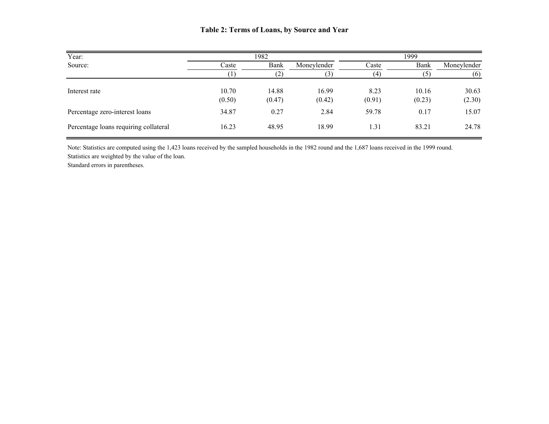### **Table 2: Terms of Loans, by Source and Year**

| Year:                                 |                 | 1982              | 1999            |                |                 |                 |  |
|---------------------------------------|-----------------|-------------------|-----------------|----------------|-----------------|-----------------|--|
| Source:                               | Caste           | Bank              | Moneylender     | Caste          | Bank            | Moneylender     |  |
|                                       |                 | $\left( 2\right)$ | 3)              | (4)            | (5)             | (6)             |  |
| Interest rate                         | 10.70<br>(0.50) | 14.88<br>(0.47)   | 16.99<br>(0.42) | 8.23<br>(0.91) | 10.16<br>(0.23) | 30.63<br>(2.30) |  |
| Percentage zero-interest loans        | 34.87           | 0.27              | 2.84            | 59.78          | 0.17            | 15.07           |  |
| Percentage loans requiring collateral | 16.23           | 48.95             | 18.99           | 1.31           | 83.21           | 24.78           |  |

Note: Statistics are computed using the 1,423 loans received by the sampled households in the 1982 round and the 1,687 loans received in the 1999 round. Statistics are weighted by the value of the loan. Standard errors in parentheses.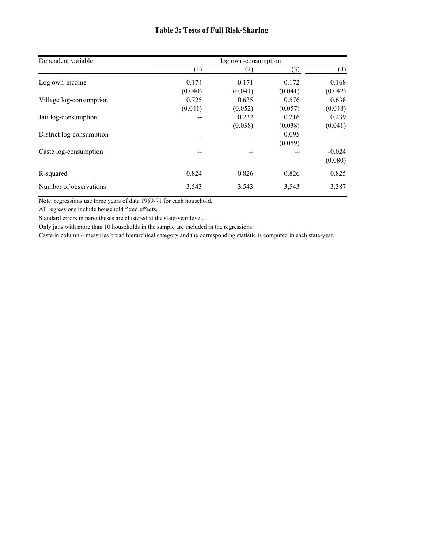### **Table 3: Tests of Full Risk-Sharing**

| Dependent variable:      | log own-consumption |         |         |          |  |  |
|--------------------------|---------------------|---------|---------|----------|--|--|
|                          | (1)                 | (2)     | (3)     | (4)      |  |  |
| Log own-income           | 0.174               | 0.171   | 0.172   | 0.168    |  |  |
|                          | (0.040)             | (0.041) | (0.041) | (0.042)  |  |  |
| Village log-consumption  | 0.725               | 0.635   | 0.576   | 0.638    |  |  |
|                          | (0.041)             | (0.052) | (0.057) | (0.048)  |  |  |
| Jati log-consumption     |                     | 0.232   | 0.216   | 0.239    |  |  |
|                          |                     | (0.038) | (0.038) | (0.041)  |  |  |
| District log-consumption |                     | --      | 0.095   |          |  |  |
|                          |                     |         | (0.059) |          |  |  |
| Caste log-consumption    | --                  |         |         | $-0.024$ |  |  |
|                          |                     |         |         | (0.080)  |  |  |
| R-squared                | 0.824               | 0.826   | 0.826   | 0.825    |  |  |
| Number of observations   | 3,543               | 3,543   | 3,543   | 3,387    |  |  |

Note: regressions use three years of data 1969-71 for each household.

All regressions include household fixed effects.

Standard errors in parentheses are clustered at the state-year level.

Only jatis with more than 10 households in the sample are included in the regressions.

Caste in column 4 measures broad hierarchical category and the corresponding statistic is computed in each state-year.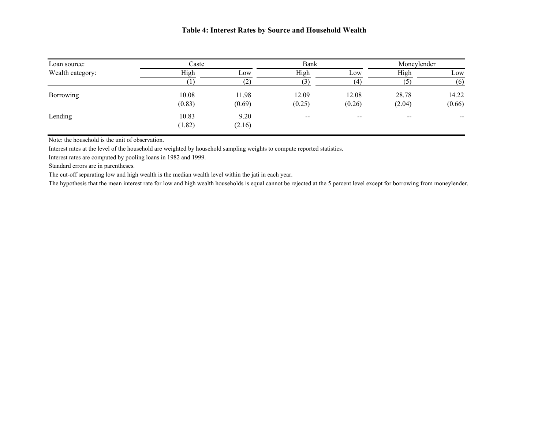| Loan source:     | Caste  |        | Bank                                  |                          | Moneylender              |                   |
|------------------|--------|--------|---------------------------------------|--------------------------|--------------------------|-------------------|
| Wealth category: | High   | LOW    | High                                  | Low                      | High                     | Low               |
|                  |        |        | (3)                                   | (4)                      |                          | (6)               |
| Borrowing        | 10.08  | 11.98  | 12.09                                 | 12.08                    | 28.78                    | 14.22             |
|                  | (0.83) | (0.69) | (0.25)                                | (0.26)                   | (2.04)                   | (0.66)            |
| Lending          | 10.83  | 9.20   | $\hspace{0.05cm}$ – $\hspace{0.05cm}$ | $\overline{\phantom{m}}$ | $\hspace{0.05cm} \cdots$ | $\hspace{0.05cm}$ |
|                  | (1.82) | (2.16) |                                       |                          |                          |                   |

Note: the household is the unit of observation.

Interest rates at the level of the household are weighted by household sampling weights to compute reported statistics.

Interest rates are computed by pooling loans in 1982 and 1999.

Standard errors are in parentheses.

The cut-off separating low and high wealth is the median wealth level within the jati in each year.

The hypothesis that the mean interest rate for low and high wealth households is equal cannot be rejected at the 5 percent level except for borrowing from moneylender.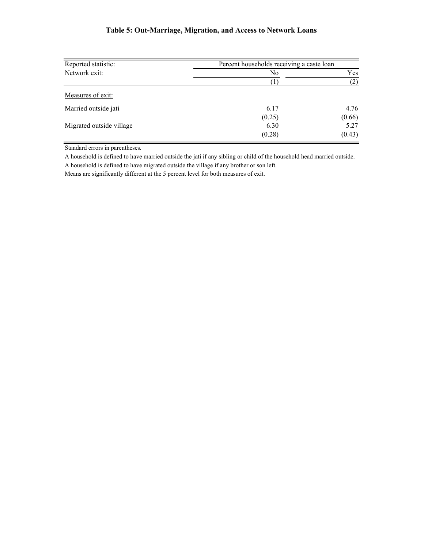### **Table 5: Out-Marriage, Migration, and Access to Network Loans**

| Reported statistic:      | Percent households receiving a caste loan |        |  |  |
|--------------------------|-------------------------------------------|--------|--|--|
| Network exit:            | No                                        | Yes    |  |  |
|                          |                                           | (2)    |  |  |
| Measures of exit:        |                                           |        |  |  |
| Married outside jati     | 6.17                                      | 4.76   |  |  |
|                          | (0.25)                                    | (0.66) |  |  |
| Migrated outside village | 6.30                                      | 5.27   |  |  |
|                          | (0.28)                                    | (0.43) |  |  |

Standard errors in parentheses.

A household is defined to have married outside the jati if any sibling or child of the household head married outside. A household is defined to have migrated outside the village if any brother or son left.

Means are significantly different at the 5 percent level for both measures of exit.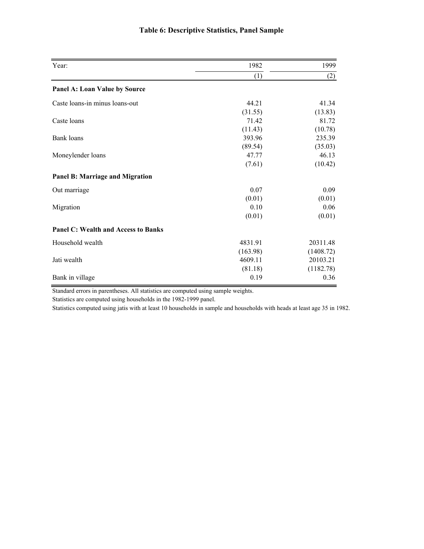| Year:                                      | 1982     | 1999      |
|--------------------------------------------|----------|-----------|
|                                            | (1)      | (2)       |
| Panel A: Loan Value by Source              |          |           |
| Caste loans-in minus loans-out             | 44.21    | 41.34     |
|                                            | (31.55)  | (13.83)   |
| Caste loans                                | 71.42    | 81.72     |
|                                            | (11.43)  | (10.78)   |
| Bank loans                                 | 393.96   | 235.39    |
|                                            | (89.54)  | (35.03)   |
| Moneylender loans                          | 47.77    | 46.13     |
|                                            | (7.61)   | (10.42)   |
| <b>Panel B: Marriage and Migration</b>     |          |           |
| Out marriage                               | 0.07     | 0.09      |
|                                            | (0.01)   | (0.01)    |
| Migration                                  | 0.10     | 0.06      |
|                                            | (0.01)   | (0.01)    |
| <b>Panel C: Wealth and Access to Banks</b> |          |           |
| Household wealth                           | 4831.91  | 20311.48  |
|                                            | (163.98) | (1408.72) |
| Jati wealth                                | 4609.11  | 20103.21  |
|                                            | (81.18)  | (1182.78) |
| Bank in village                            | 0.19     | 0.36      |

### **Table 6: Descriptive Statistics, Panel Sample**

Standard errors in parentheses. All statistics are computed using sample weights.

Statistics are computed using households in the 1982-1999 panel.

Statistics computed using jatis with at least 10 households in sample and households with heads at least age 35 in 1982.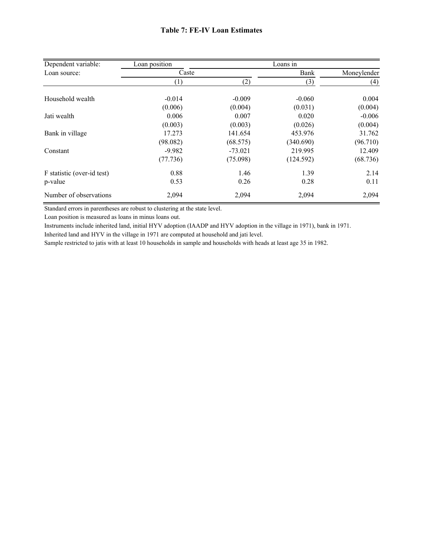| Dependent variable:        | Loan position |           | Loans in  |             |
|----------------------------|---------------|-----------|-----------|-------------|
| Loan source:               | Caste         |           | Bank      | Moneylender |
|                            | (1)           | (2)       | (3)       | (4)         |
|                            |               |           |           |             |
| Household wealth           | $-0.014$      | $-0.009$  | $-0.060$  | 0.004       |
|                            | (0.006)       | (0.004)   | (0.031)   | (0.004)     |
| Jati wealth                | 0.006         | 0.007     | 0.020     | $-0.006$    |
|                            | (0.003)       | (0.003)   | (0.026)   | (0.004)     |
| Bank in village            | 17.273        | 141.654   | 453.976   | 31.762      |
|                            | (98.082)      | (68.575)  | (340.690) | (96.710)    |
| Constant                   | $-9.982$      | $-73.021$ | 219.995   | 12.409      |
|                            | (77.736)      | (75.098)  | (124.592) | (68.736)    |
| F statistic (over-id test) | 0.88          | 1.46      | 1.39      | 2.14        |
| p-value                    | 0.53          | 0.26      | 0.28      | 0.11        |
| Number of observations     | 2,094         | 2,094     | 2,094     | 2,094       |

Standard errors in parentheses are robust to clustering at the state level.

Loan position is measured as loans in minus loans out.

Instruments include inherited land, initial HYV adoption (IAADP and HYV adoption in the village in 1971), bank in 1971.

Inherited land and HYV in the village in 1971 are computed at household and jati level.

Sample restricted to jatis with at least 10 households in sample and households with heads at least age 35 in 1982.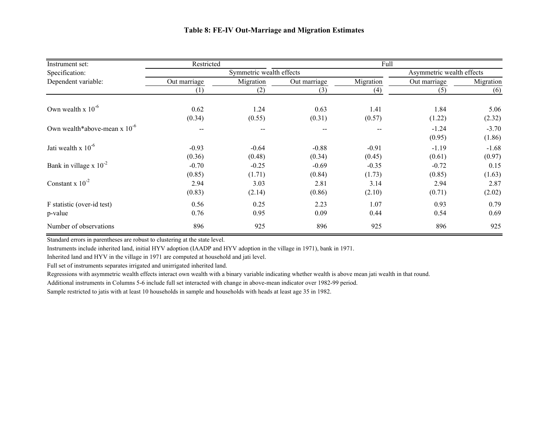| Instrument set:                   | Restricted   |                          |              | Full      |                           |                   |
|-----------------------------------|--------------|--------------------------|--------------|-----------|---------------------------|-------------------|
| Specification:                    |              | Symmetric wealth effects |              |           | Asymmetric wealth effects |                   |
| Dependent variable:               | Out marriage | Migration                | Out marriage | Migration | Out marriage              | Migration         |
|                                   | (1)          | (2)                      | (3)          | (4)       | (5)                       | (6)               |
| Own wealth x $10^{-6}$            | 0.62         | 1.24                     | 0.63         | 1.41      | 1.84                      | 5.06              |
|                                   | (0.34)       | (0.55)                   | (0.31)       | (0.57)    | (1.22)                    | (2.32)            |
| Own wealth*above-mean $x 10^{-6}$ | $-$          | $\overline{\phantom{m}}$ | $- -$        | $- -$     | $-1.24$<br>(0.95)         | $-3.70$<br>(1.86) |
| Jati wealth x $10^{-6}$           | $-0.93$      | $-0.64$                  | $-0.88$      | $-0.91$   | $-1.19$                   | $-1.68$           |
|                                   | (0.36)       | (0.48)                   | (0.34)       | (0.45)    | (0.61)                    | (0.97)            |
| Bank in village x $10^{-2}$       | $-0.70$      | $-0.25$                  | $-0.69$      | $-0.35$   | $-0.72$                   | 0.15              |
|                                   | (0.85)       | (1.71)                   | (0.84)       | (1.73)    | (0.85)                    | (1.63)            |
| Constant x $10^{-2}$              | 2.94         | 3.03                     | 2.81         | 3.14      | 2.94                      | 2.87              |
|                                   | (0.83)       | (2.14)                   | (0.86)       | (2.10)    | (0.71)                    | (2.02)            |
| F statistic (over-id test)        | 0.56         | 0.25                     | 2.23         | 1.07      | 0.93                      | 0.79              |
| p-value                           | 0.76         | 0.95                     | 0.09         | 0.44      | 0.54                      | 0.69              |
| Number of observations            | 896          | 925                      | 896          | 925       | 896                       | 925               |

Standard errors in parentheses are robust to clustering at the state level.

Instruments include inherited land, initial HYV adoption (IAADP and HYV adoption in the village in 1971), bank in 1971.

Inherited land and HYV in the village in 1971 are computed at household and jati level.

Full set of instruments separates irrigated and unirrigated inherited land.

Regressions with asymmetric wealth effects interact own wealth with a binary variable indicating whether wealth is above mean jati wealth in that round.

Additional instruments in Columns 5-6 include full set interacted with change in above-mean indicator over 1982-99 period.

Sample restricted to jatis with at least 10 households in sample and households with heads at least age 35 in 1982.